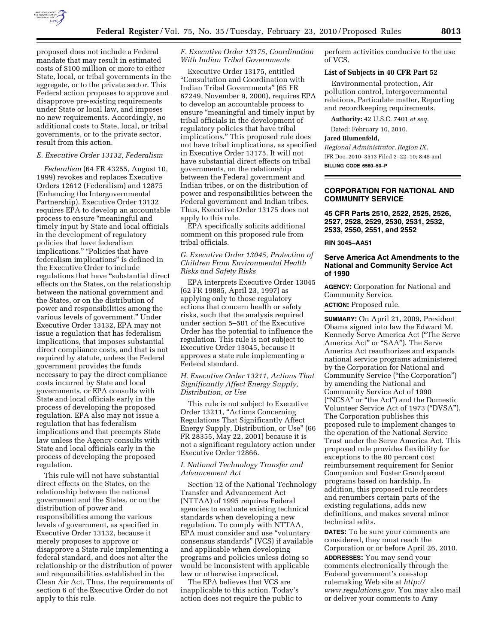

proposed does not include a Federal mandate that may result in estimated costs of \$100 million or more to either State, local, or tribal governments in the aggregate, or to the private sector. This Federal action proposes to approve and disapprove pre-existing requirements under State or local law, and imposes no new requirements. Accordingly, no additional costs to State, local, or tribal governments, or to the private sector, result from this action.

#### *E. Executive Order 13132, Federalism*

*Federalism* (64 FR 43255, August 10, 1999) revokes and replaces Executive Orders 12612 (Federalism) and 12875 (Enhancing the Intergovernmental Partnership). Executive Order 13132 requires EPA to develop an accountable process to ensure ''meaningful and timely input by State and local officials in the development of regulatory policies that have federalism implications." "Policies that have federalism implications'' is defined in the Executive Order to include regulations that have ''substantial direct effects on the States, on the relationship between the national government and the States, or on the distribution of power and responsibilities among the various levels of government.'' Under Executive Order 13132, EPA may not issue a regulation that has federalism implications, that imposes substantial direct compliance costs, and that is not required by statute, unless the Federal government provides the funds necessary to pay the direct compliance costs incurred by State and local governments, or EPA consults with State and local officials early in the process of developing the proposed regulation. EPA also may not issue a regulation that has federalism implications and that preempts State law unless the Agency consults with State and local officials early in the process of developing the proposed regulation.

This rule will not have substantial direct effects on the States, on the relationship between the national government and the States, or on the distribution of power and responsibilities among the various levels of government, as specified in Executive Order 13132, because it merely proposes to approve or disapprove a State rule implementing a federal standard, and does not alter the relationship or the distribution of power and responsibilities established in the Clean Air Act. Thus, the requirements of section 6 of the Executive Order do not apply to this rule.

# *F. Executive Order 13175, Coordination With Indian Tribal Governments*

Executive Order 13175, entitled ''Consultation and Coordination with Indian Tribal Governments'' (65 FR 67249, November 9, 2000), requires EPA to develop an accountable process to ensure "meaningful and timely input by tribal officials in the development of regulatory policies that have tribal implications.'' This proposed rule does not have tribal implications, as specified in Executive Order 13175. It will not have substantial direct effects on tribal governments, on the relationship between the Federal government and Indian tribes, or on the distribution of power and responsibilities between the Federal government and Indian tribes. Thus, Executive Order 13175 does not apply to this rule.

EPA specifically solicits additional comment on this proposed rule from tribal officials.

# *G. Executive Order 13045, Protection of Children From Environmental Health Risks and Safety Risks*

EPA interprets Executive Order 13045 (62 FR 19885, April 23, 1997) as applying only to those regulatory actions that concern health or safety risks, such that the analysis required under section 5–501 of the Executive Order has the potential to influence the regulation. This rule is not subject to Executive Order 13045, because it approves a state rule implementing a Federal standard.

## *H. Executive Order 13211, Actions That Significantly Affect Energy Supply, Distribution, or Use*

This rule is not subject to Executive Order 13211, ''Actions Concerning Regulations That Significantly Affect Energy Supply, Distribution, or Use'' (66 FR 28355, May 22, 2001) because it is not a significant regulatory action under Executive Order 12866.

# *I. National Technology Transfer and Advancement Act*

Section 12 of the National Technology Transfer and Advancement Act (NTTAA) of 1995 requires Federal agencies to evaluate existing technical standards when developing a new regulation. To comply with NTTAA, EPA must consider and use ''voluntary consensus standards'' (VCS) if available and applicable when developing programs and policies unless doing so would be inconsistent with applicable law or otherwise impractical.

The EPA believes that VCS are inapplicable to this action. Today's action does not require the public to perform activities conducive to the use of VCS.

## **List of Subjects in 40 CFR Part 52**

Environmental protection, Air pollution control, Intergovernmental relations, Particulate matter, Reporting and recordkeeping requirements.

**Authority:** 42 U.S.C. 7401 *et seq.* 

Dated: February 10, 2010.

#### **Jared Blumenfeld,**

*Regional Administrator, Region IX.* 

[FR Doc. 2010–3513 Filed 2–22–10; 8:45 am]

**BILLING CODE 6560–50–P** 

### **CORPORATION FOR NATIONAL AND COMMUNITY SERVICE**

**45 CFR Parts 2510, 2522, 2525, 2526, 2527, 2528, 2529, 2530, 2531, 2532, 2533, 2550, 2551, and 2552** 

# **RIN 3045–AA51**

### **Serve America Act Amendments to the National and Community Service Act of 1990**

**AGENCY:** Corporation for National and Community Service.

**ACTION:** Proposed rule.

**SUMMARY:** On April 21, 2009, President Obama signed into law the Edward M. Kennedy Serve America Act (''The Serve America Act" or "SAA"). The Serve America Act reauthorizes and expands national service programs administered by the Corporation for National and Community Service (''the Corporation'') by amending the National and Community Service Act of 1990 (''NCSA'' or ''the Act'') and the Domestic Volunteer Service Act of 1973 (''DVSA''). The Corporation publishes this proposed rule to implement changes to the operation of the National Service Trust under the Serve America Act. This proposed rule provides flexibility for exceptions to the 80 percent cost reimbursement requirement for Senior Companion and Foster Grandparent programs based on hardship. In addition, this proposed rule reorders and renumbers certain parts of the existing regulations, adds new definitions, and makes several minor technical edits.

**DATES:** To be sure your comments are considered, they must reach the Corporation or or before April 26, 2010.

**ADDRESSES:** You may send your comments electronically through the Federal government's one-stop rulemaking Web site at *http:// www.regulations.gov.* You may also mail or deliver your comments to Amy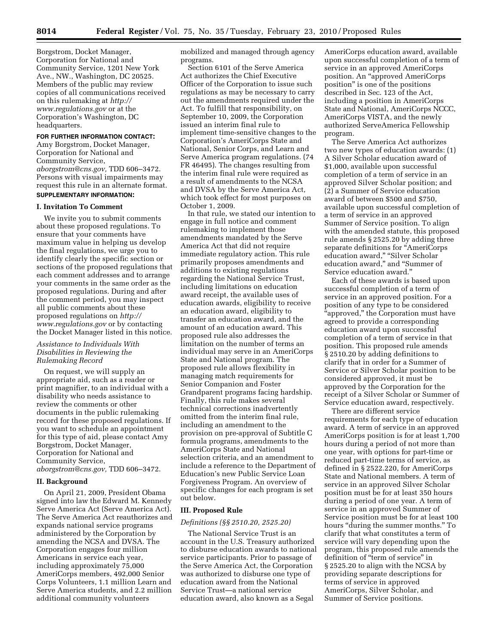Borgstrom, Docket Manager, Corporation for National and Community Service, 1201 New York Ave., NW., Washington, DC 20525. Members of the public may review copies of all communications received on this rulemaking at *http:// www.regulations.gov* or at the Corporation's Washington, DC headquarters.

#### **FOR FURTHER INFORMATION CONTACT:**

Amy Borgstrom, Docket Manager, Corporation for National and Community Service, *aborgstrom@cns.gov,* TDD 606–3472. Persons with visual impairments may request this rule in an alternate format. **SUPPLEMENTARY INFORMATION:** 

### **I. Invitation To Comment**

We invite you to submit comments about these proposed regulations. To ensure that your comments have maximum value in helping us develop the final regulations, we urge you to identify clearly the specific section or sections of the proposed regulations that each comment addresses and to arrange your comments in the same order as the proposed regulations. During and after the comment period, you may inspect all public comments about these proposed regulations on *http:// www.regulations.gov* or by contacting the Docket Manager listed in this notice.

### *Assistance to Individuals With Disabilities in Reviewing the Rulemaking Record*

On request, we will supply an appropriate aid, such as a reader or print magnifier, to an individual with a disability who needs assistance to review the comments or other documents in the public rulemaking record for these proposed regulations. If you want to schedule an appointment for this type of aid, please contact Amy Borgstrom, Docket Manager, Corporation for National and Community Service, *aborgstrom@cns.gov,* TDD 606–3472.

### **II. Background**

On April 21, 2009, President Obama signed into law the Edward M. Kennedy Serve America Act (Serve America Act). The Serve America Act reauthorizes and expands national service programs administered by the Corporation by amending the NCSA and DVSA. The Corporation engages four million Americans in service each year, including approximately 75,000 AmeriCorps members, 492,000 Senior Corps Volunteers, 1.1 million Learn and Serve America students, and 2.2 million additional community volunteers

mobilized and managed through agency programs.

Section 6101 of the Serve America Act authorizes the Chief Executive Officer of the Corporation to issue such regulations as may be necessary to carry out the amendments required under the Act. To fulfill that responsibility, on September 10, 2009, the Corporation issued an interim final rule to implement time-sensitive changes to the Corporation's AmeriCorps State and National, Senior Corps, and Learn and Serve America program regulations. (74 FR 46495). The changes resulting from the interim final rule were required as a result of amendments to the NCSA and DVSA by the Serve America Act, which took effect for most purposes on October 1, 2009.

In that rule, we stated our intention to engage in full notice and comment rulemaking to implement those amendments mandated by the Serve America Act that did not require immediate regulatory action. This rule primarily proposes amendments and additions to existing regulations regarding the National Service Trust, including limitations on education award receipt, the available uses of education awards, eligibility to receive an education award, eligibility to transfer an education award, and the amount of an education award. This proposed rule also addresses the limitation on the number of terms an individual may serve in an AmeriCorps State and National program. The proposed rule allows flexibility in managing match requirements for Senior Companion and Foster Grandparent programs facing hardship. Finally, this rule makes several technical corrections inadvertently omitted from the interim final rule, including an amendment to the provision on pre-approval of Subtitle C formula programs, amendments to the AmeriCorps State and National selection criteria, and an amendment to include a reference to the Department of Education's new Public Service Loan Forgiveness Program. An overview of specific changes for each program is set out below.

# **III. Proposed Rule**

# *Definitions (§§ 2510.20, 2525.20)*

The National Service Trust is an account in the U.S. Treasury authorized to disburse education awards to national service participants. Prior to passage of the Serve America Act, the Corporation was authorized to disburse one type of education award from the National Service Trust—a national service education award, also known as a Segal

AmeriCorps education award, available upon successful completion of a term of service in an approved AmeriCorps position. An ''approved AmeriCorps position'' is one of the positions described in Sec. 123 of the Act, including a position in AmeriCorps State and National, AmeriCorps NCCC, AmeriCorps VISTA, and the newly authorized ServeAmerica Fellowship program.

The Serve America Act authorizes two new types of education awards: (1) A Silver Scholar education award of \$1,000, available upon successful completion of a term of service in an approved Silver Scholar position; and (2) a Summer of Service education award of between \$500 and \$750, available upon successful completion of a term of service in an approved Summer of Service position. To align with the amended statute, this proposed rule amends § 2525.20 by adding three separate definitions for "AmeriCorps education award," "Silver Scholar education award," and "Summer of Service education award.''

Each of these awards is based upon successful completion of a term of service in an approved position. For a position of any type to be considered ''approved,'' the Corporation must have agreed to provide a corresponding education award upon successful completion of a term of service in that position. This proposed rule amends § 2510.20 by adding definitions to clarify that in order for a Summer of Service or Silver Scholar position to be considered approved, it must be approved by the Corporation for the receipt of a Silver Scholar or Summer of Service education award, respectively.

There are different service requirements for each type of education award. A term of service in an approved AmeriCorps position is for at least 1,700 hours during a period of not more than one year, with options for part-time or reduced part-time terms of service, as defined in § 2522.220, for AmeriCorps State and National members. A term of service in an approved Silver Scholar position must be for at least 350 hours during a period of one year. A term of service in an approved Summer of Service position must be for at least 100 hours "during the summer months." To clarify that what constitutes a term of service will vary depending upon the program, this proposed rule amends the definition of "term of service" in § 2525.20 to align with the NCSA by providing separate descriptions for terms of service in approved AmeriCorps, Silver Scholar, and Summer of Service positions.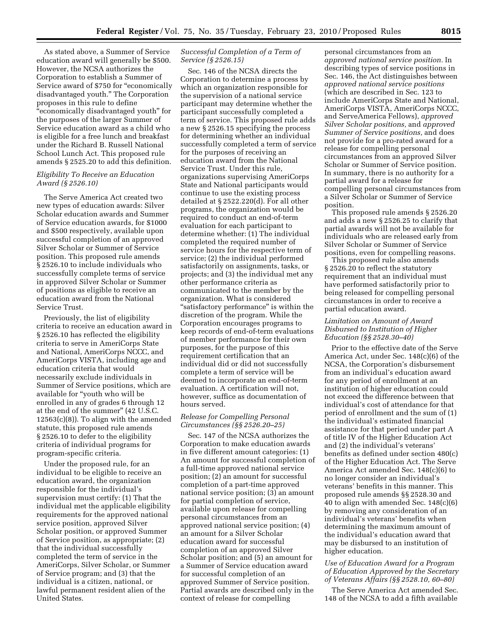As stated above, a Summer of Service education award will generally be \$500. However, the NCSA authorizes the Corporation to establish a Summer of Service award of \$750 for "economically disadvantaged youth.'' The Corporation proposes in this rule to define ''economically disadvantaged youth'' for the purposes of the larger Summer of Service education award as a child who is eligible for a free lunch and breakfast under the Richard B. Russell National School Lunch Act. This proposed rule amends § 2525.20 to add this definition.

# *Eligibility To Receive an Education Award (§ 2526.10)*

The Serve America Act created two new types of education awards: Silver Scholar education awards and Summer of Service education awards, for \$1000 and \$500 respectively, available upon successful completion of an approved Silver Scholar or Summer of Service position. This proposed rule amends § 2526.10 to include individuals who successfully complete terms of service in approved Silver Scholar or Summer of positions as eligible to receive an education award from the National Service Trust.

Previously, the list of eligibility criteria to receive an education award in § 2526.10 has reflected the eligibility criteria to serve in AmeriCorps State and National, AmeriCorps NCCC, and AmeriCorps VISTA, including age and education criteria that would necessarily exclude individuals in Summer of Service positions, which are available for ''youth who will be enrolled in any of grades 6 through 12 at the end of the summer'' (42 U.S.C.  $12563(c)(8)$ ). To align with the amended statute, this proposed rule amends § 2526.10 to defer to the eligibility criteria of individual programs for program-specific criteria.

Under the proposed rule, for an individual to be eligible to receive an education award, the organization responsible for the individual's supervision must certify: (1) That the individual met the applicable eligibility requirements for the approved national service position, approved Silver Scholar position, or approved Summer of Service position, as appropriate; (2) that the individual successfully completed the term of service in the AmeriCorps, Silver Scholar, or Summer of Service program; and (3) that the individual is a citizen, national, or lawful permanent resident alien of the United States.

# *Successful Completion of a Term of Service (§ 2526.15)*

Sec. 146 of the NCSA directs the Corporation to determine a process by which an organization responsible for the supervision of a national service participant may determine whether the participant successfully completed a term of service. This proposed rule adds a new § 2526.15 specifying the process for determining whether an individual successfully completed a term of service for the purposes of receiving an education award from the National Service Trust. Under this rule, organizations supervising AmeriCorps State and National participants would continue to use the existing process detailed at § 2522.220(d). For all other programs, the organization would be required to conduct an end-of-term evaluation for each participant to determine whether: (1) The individual completed the required number of service hours for the respective term of service; (2) the individual performed satisfactorily on assignments, tasks, or projects; and (3) the individual met any other performance criteria as communicated to the member by the organization. What is considered ''satisfactory performance'' is within the discretion of the program. While the Corporation encourages programs to keep records of end-of-term evaluations of member performance for their own purposes, for the purpose of this requirement certification that an individual did or did not successfully complete a term of service will be deemed to incorporate an end-of-term evaluation. A certification will not, however, suffice as documentation of hours served.

# *Release for Compelling Personal Circumstances (§§ 2526.20–25)*

Sec. 147 of the NCSA authorizes the Corporation to make education awards in five different amount categories: (1) An amount for successful completion of a full-time approved national service position; (2) an amount for successful completion of a part-time approved national service position; (3) an amount for partial completion of service, available upon release for compelling personal circumstances from an approved national service position; (4) an amount for a Silver Scholar education award for successful completion of an approved Silver Scholar position; and (5) an amount for a Summer of Service education award for successful completion of an approved Summer of Service position. Partial awards are described only in the context of release for compelling

personal circumstances from an *approved national service position.* In describing types of service positions in Sec. 146, the Act distinguishes between *approved national service positions*  (which are described in Sec. 123 to include AmeriCorps State and National, AmeriCorps VISTA, AmeriCorps NCCC, and ServeAmerica Fellows), *approved Silver Scholar positions,* and *approved Summer of Service positions,* and does not provide for a pro-rated award for a release for compelling personal circumstances from an approved Silver Scholar or Summer of Service position. In summary, there is no authority for a partial award for a release for compelling personal circumstances from a Silver Scholar or Summer of Service position.

This proposed rule amends § 2526.20 and adds a new § 2526.25 to clarify that partial awards will not be available for individuals who are released early from Silver Scholar or Summer of Service positions, even for compelling reasons.

This proposed rule also amends § 2526.20 to reflect the statutory requirement that an individual must have performed satisfactorily prior to being released for compelling personal circumstances in order to receive a partial education award.

# *Limitation on Amount of Award Disbursed to Institution of Higher Education (§§ 2528.30–40)*

Prior to the effective date of the Serve America Act, under Sec. 148(c)(6) of the NCSA, the Corporation's disbursement from an individual's education award for any period of enrollment at an institution of higher education could not exceed the difference between that individual's cost of attendance for that period of enrollment and the sum of (1) the individual's estimated financial assistance for that period under part A of title IV of the Higher Education Act and (2) the individual's veterans' benefits as defined under section 480(c) of the Higher Education Act. The Serve America Act amended Sec. 148(c)(6) to no longer consider an individual's veterans' benefits in this manner. This proposed rule amends §§ 2528.30 and 40 to align with amended Sec. 148(c)(6) by removing any consideration of an individual's veterans' benefits when determining the maximum amount of the individual's education award that may be disbursed to an institution of higher education.

# *Use of Education Award for a Program of Education Approved by the Secretary of Veterans Affairs (§§ 2528.10, 60–80)*

The Serve America Act amended Sec. 148 of the NCSA to add a fifth available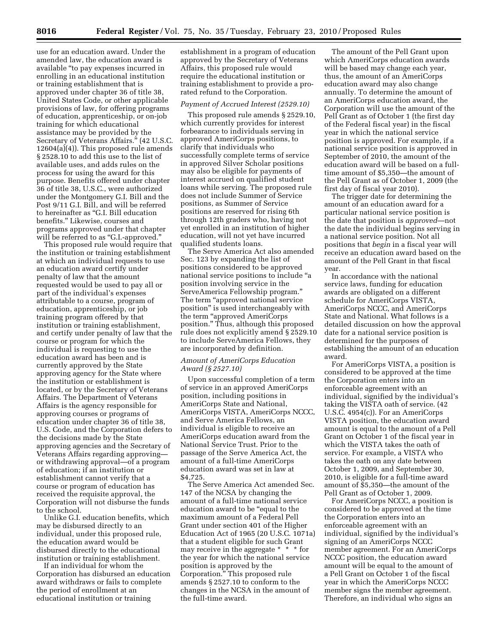use for an education award. Under the amended law, the education award is available ''to pay expenses incurred in enrolling in an educational institution or training establishment that is approved under chapter 36 of title 38, United States Code, or other applicable provisions of law, for offering programs of education, apprenticeship, or on-job training for which educational assistance may be provided by the Secretary of Veterans Affairs.'' (42 U.S.C. 12604(a)(4)). This proposed rule amends § 2528.10 to add this use to the list of available uses, and adds rules on the process for using the award for this purpose. Benefits offered under chapter 36 of title 38, U.S.C., were authorized under the Montgomery G.I. Bill and the Post 9/11 G.I. Bill, and will be referred to hereinafter as ''G.I. Bill education benefits.'' Likewise, courses and programs approved under that chapter will be referred to as "G.I.-approved."

This proposed rule would require that the institution or training establishment at which an individual requests to use an education award certify under penalty of law that the amount requested would be used to pay all or part of the individual's expenses attributable to a course, program of education, apprenticeship, or job training program offered by that institution or training establishment, and certify under penalty of law that the course or program for which the individual is requesting to use the education award has been and is currently approved by the State approving agency for the State where the institution or establishment is located, or by the Secretary of Veterans Affairs. The Department of Veterans Affairs is the agency responsible for approving courses or programs of education under chapter 36 of title 38, U.S. Code, and the Corporation defers to the decisions made by the State approving agencies and the Secretary of Veterans Affairs regarding approving or withdrawing approval—of a program of education; if an institution or establishment cannot verify that a course or program of education has received the requisite approval, the Corporation will not disburse the funds to the school.

Unlike G.I. education benefits, which may be disbursed directly to an individual, under this proposed rule, the education award would be disbursed directly to the educational institution or training establishment.

If an individual for whom the Corporation has disbursed an education award withdraws or fails to complete the period of enrollment at an educational institution or training

establishment in a program of education approved by the Secretary of Veterans Affairs, this proposed rule would require the educational institution or training establishment to provide a prorated refund to the Corporation.

#### *Payment of Accrued Interest (2529.10)*

This proposed rule amends § 2529.10, which currently provides for interest forbearance to individuals serving in approved AmeriCorps positions, to clarify that individuals who successfully complete terms of service in approved Silver Scholar positions may also be eligible for payments of interest accrued on qualified student loans while serving. The proposed rule does not include Summer of Service positions, as Summer of Service positions are reserved for rising 6th through 12th graders who, having not yet enrolled in an institution of higher education, will not yet have incurred qualified students loans.

The Serve America Act also amended Sec. 123 by expanding the list of positions considered to be approved national service positions to include ''a position involving service in the ServeAmerica Fellowship program.'' The term "approved national service" position'' is used interchangeably with the term ''approved AmeriCorps position.'' Thus, although this proposed rule does not explicitly amend § 2529.10 to include ServeAmerica Fellows, they are incorporated by definition.

# *Amount of AmeriCorps Education Award (§ 2527.10)*

Upon successful completion of a term of service in an approved AmeriCorps position, including positions in AmeriCorps State and National, AmeriCorps VISTA, AmeriCorps NCCC, and Serve America Fellows, an individual is eligible to receive an AmeriCorps education award from the National Service Trust. Prior to the passage of the Serve America Act, the amount of a full-time AmeriCorps education award was set in law at \$4,725.

The Serve America Act amended Sec. 147 of the NCSA by changing the amount of a full-time national service education award to be ''equal to the maximum amount of a Federal Pell Grant under section 401 of the Higher Education Act of 1965 (20 U.S.C. 1071a) that a student eligible for such Grant may receive in the aggregate \* \* \* for the year for which the national service position is approved by the Corporation.'' This proposed rule amends § 2527.10 to conform to the changes in the NCSA in the amount of the full-time award.

The amount of the Pell Grant upon which AmeriCorps education awards will be based may change each year, thus, the amount of an AmeriCorps education award may also change annually. To determine the amount of an AmeriCorps education award, the Corporation will use the amount of the Pell Grant as of October 1 (the first day of the Federal fiscal year) in the fiscal year in which the national service position is approved. For example, if a national service position is approved in September of 2010, the amount of the education award will be based on a fulltime amount of \$5,350—the amount of the Pell Grant as of October 1, 2009 (the first day of fiscal year 2010).

The trigger date for determining the amount of an education award for a particular national service position is the date that position is *approved*—not the date the individual begins serving in a national service position. Not all positions that *begin* in a fiscal year will receive an education award based on the amount of the Pell Grant in that fiscal year.

In accordance with the national service laws, funding for education awards are obligated on a different schedule for AmeriCorps VISTA, AmeriCorps NCCC, and AmeriCorps State and National. What follows is a detailed discussion on how the approval date for a national service position is determined for the purposes of establishing the amount of an education award.

For AmeriCorps VISTA, a position is considered to be approved at the time the Corporation enters into an enforceable agreement with an individual, signified by the individual's taking the VISTA oath of service. (42 U.S.C. 4954(c)). For an AmeriCorps VISTA position, the education award amount is equal to the amount of a Pell Grant on October 1 of the fiscal year in which the VISTA takes the oath of service. For example, a VISTA who takes the oath on any date between October 1, 2009, and September 30, 2010, is eligible for a full-time award amount of \$5,350—the amount of the Pell Grant as of October 1, 2009.

For AmeriCorps NCCC, a position is considered to be approved at the time the Corporation enters into an enforceable agreement with an individual, signified by the individual's signing of an AmeriCorps NCCC member agreement. For an AmeriCorps NCCC position, the education award amount will be equal to the amount of a Pell Grant on October 1 of the fiscal year in which the AmeriCorps NCCC member signs the member agreement. Therefore, an individual who signs an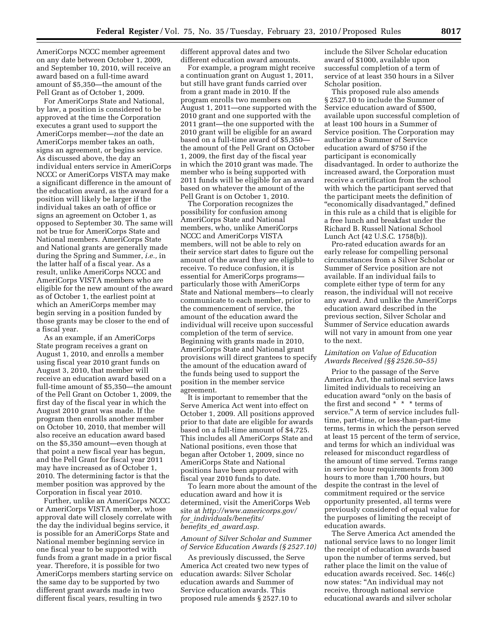AmeriCorps NCCC member agreement on any date between October 1, 2009, and September 10, 2010, will receive an award based on a full-time award amount of \$5,350—the amount of the Pell Grant as of October 1, 2009.

For AmeriCorps State and National, by law, a position is considered to be approved at the time the Corporation executes a grant used to support the AmeriCorps member—*not* the date an AmeriCorps member takes an oath, signs an agreement, or begins service. As discussed above, the day an individual enters service in AmeriCorps NCCC or AmeriCorps VISTA may make a significant difference in the amount of the education award, as the award for a position will likely be larger if the individual takes an oath of office or signs an agreement on October 1, as opposed to September 30. The same will not be true for AmeriCorps State and National members. AmeriCorps State and National grants are generally made during the Spring and Summer, *i.e.,* in the latter half of a fiscal year. As a result, unlike AmeriCorps NCCC and AmeriCorps VISTA members who are eligible for the new amount of the award as of October 1, the earliest point at which an AmeriCorps member may begin serving in a position funded by those grants may be closer to the end of a fiscal year.

As an example, if an AmeriCorps State program receives a grant on August 1, 2010, and enrolls a member using fiscal year 2010 grant funds on August 3, 2010, that member will receive an education award based on a full-time amount of \$5,350—the amount of the Pell Grant on October 1, 2009, the first day of the fiscal year in which the August 2010 grant was made. If the program then enrolls another member on October 10, 2010, that member will also receive an education award based on the \$5,350 amount—even though at that point a new fiscal year has begun, and the Pell Grant for fiscal year 2011 may have increased as of October 1, 2010. The determining factor is that the member position was approved by the Corporation in fiscal year 2010.

Further, unlike an AmeriCorps NCCC or AmeriCorps VISTA member, whose approval date will closely correlate with the day the individual begins service, it is possible for an AmeriCorps State and National member beginning service in one fiscal year to be supported with funds from a grant made in a prior fiscal year. Therefore, it is possible for two AmeriCorps members starting service on the same day to be supported by two different grant awards made in two different fiscal years, resulting in two

different approval dates and two different education award amounts.

For example, a program might receive a continuation grant on August 1, 2011, but still have grant funds carried over from a grant made in 2010. If the program enrolls two members on August 1, 2011—one supported with the 2010 grant and one supported with the 2011 grant—the one supported with the 2010 grant will be eligible for an award based on a full-time award of \$5,350 the amount of the Pell Grant on October 1, 2009, the first day of the fiscal year in which the 2010 grant was made. The member who is being supported with 2011 funds will be eligible for an award based on whatever the amount of the Pell Grant is on October 1, 2010.

The Corporation recognizes the possibility for confusion among AmeriCorps State and National members, who, unlike AmeriCorps NCCC and AmeriCorps VISTA members, will not be able to rely on their service start dates to figure out the amount of the award they are eligible to receive. To reduce confusion, it is essential for AmeriCorps programs particularly those with AmeriCorps State and National members—to clearly communicate to each member, prior to the commencement of service, the amount of the education award the individual will receive upon successful completion of the term of service. Beginning with grants made in 2010, AmeriCorps State and National grant provisions will direct grantees to specify the amount of the education award of the funds being used to support the position in the member service agreement.

It is important to remember that the Serve America Act went into effect on October 1, 2009. All positions approved prior to that date are eligible for awards based on a full-time amount of \$4,725. This includes all AmeriCorps State and National positions, even those that began after October 1, 2009, since no AmeriCorps State and National positions have been approved with fiscal year 2010 funds to date.

To learn more about the amount of the education award and how it is determined, visit the AmeriCorps Web site at *http://www.americorps.gov/ for*\_*individuals/benefits/ benefits*\_*ed*\_*award.asp.* 

### *Amount of Silver Scholar and Summer of Service Education Awards (§ 2527.10)*

As previously discussed, the Serve America Act created two new types of education awards: Silver Scholar education awards and Summer of Service education awards. This proposed rule amends § 2527.10 to

include the Silver Scholar education award of \$1000, available upon successful completion of a term of service of at least 350 hours in a Silver Scholar position.

This proposed rule also amends § 2527.10 to include the Summer of Service education award of \$500, available upon successful completion of at least 100 hours in a Summer of Service position. The Corporation may authorize a Summer of Service education award of \$750 if the participant is economically disadvantaged. In order to authorize the increased award, the Corporation must receive a certification from the school with which the participant served that the participant meets the definition of ''economically disadvantaged,'' defined in this rule as a child that is eligible for a free lunch and breakfast under the Richard B. Russell National School Lunch Act (42 U.S.C. 1758(b)).

Pro-rated education awards for an early release for compelling personal circumstances from a Silver Scholar or Summer of Service position are not available. If an individual fails to complete either type of term for any reason, the individual will not receive any award. And unlike the AmeriCorps education award described in the previous section, Silver Scholar and Summer of Service education awards will not vary in amount from one year to the next.

# *Limitation on Value of Education Awards Received (§§ 2526.50–55)*

Prior to the passage of the Serve America Act, the national service laws limited individuals to receiving an education award ''only on the basis of the first and second \* \* \* terms of service.'' A term of service includes fulltime, part-time, or less-than-part-time terms, terms in which the person served at least 15 percent of the term of service, and terms for which an individual was released for misconduct regardless of the amount of time served. Terms range in service hour requirements from 300 hours to more than 1,700 hours, but despite the contrast in the level of commitment required or the service opportunity presented, all terms were previously considered of equal value for the purposes of limiting the receipt of education awards.

The Serve America Act amended the national service laws to no longer limit the receipt of education awards based upon the number of terms served, but rather place the limit on the value of education awards received. Sec. 146(c) now states: ''An individual may not receive, through national service educational awards and silver scholar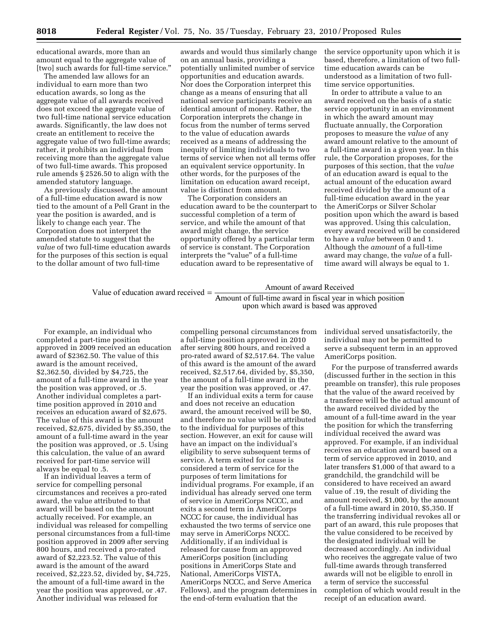educational awards, more than an amount equal to the aggregate value of [two] such awards for full-time service.''

The amended law allows for an individual to earn more than two education awards, so long as the aggregate value of all awards received does not exceed the aggregate value of two full-time national service education awards. Significantly, the law does not create an entitlement to receive the aggregate value of two full-time awards; rather, it prohibits an individual from receiving more than the aggregate value of two full-time awards. This proposed rule amends § 2526.50 to align with the amended statutory language.

As previously discussed, the amount of a full-time education award is now tied to the amount of a Pell Grant in the year the position is awarded, and is likely to change each year. The Corporation does not interpret the amended statute to suggest that the *value* of two full-time education awards for the purposes of this section is equal to the dollar amount of two full-time

awards and would thus similarly change on an annual basis, providing a potentially unlimited number of service opportunities and education awards. Nor does the Corporation interpret this change as a means of ensuring that all national service participants receive an identical amount of money. Rather, the Corporation interprets the change in focus from the number of terms served to the value of education awards received as a means of addressing the inequity of limiting individuals to two terms of service when not all terms offer an equivalent service opportunity. In other words, for the purposes of the limitation on education award receipt, value is distinct from amount.

The Corporation considers an education award to be the counterpart to successful completion of a term of service, and while the amount of that award might change, the service opportunity offered by a particular term of service is constant. The Corporation interprets the "value" of a full-time education award to be representative of

the service opportunity upon which it is based, therefore, a limitation of two fulltime education awards can be understood as a limitation of two fulltime service opportunities.

In order to attribute a value to an award received on the basis of a static service opportunity in an environment in which the award amount may fluctuate annually, the Corporation proposes to measure the *value* of any award amount relative to the amount of a full-time award in a given year. In this rule, the Corporation proposes, for the purposes of this section, that the *value*  of an education award is equal to the actual amount of the education award received divided by the amount of a full-time education award in the year the AmeriCorps or Silver Scholar position upon which the award is based was approved. Using this calculation, every award received will be considered to have a *value* between 0 and 1. Although the *amount* of a full-time award may change, the *value* of a fulltime award will always be equal to 1.

Value of education award received  $=$  Amount of full-time award in fiscal year in which position upon which award is based was approved

For example, an individual who completed a part-time position approved in 2009 received an education award of \$2362.50. The value of this award is the amount received, \$2,362.50, divided by \$4,725, the amount of a full-time award in the year the position was approved, or .5. Another individual completes a parttime position approved in 2010 and receives an education award of \$2,675. The value of this award is the amount received, \$2,675, divided by \$5,350, the amount of a full-time award in the year the position was approved, or .5. Using this calculation, the value of an award received for part-time service will always be equal to .5.

If an individual leaves a term of service for compelling personal circumstances and receives a pro-rated award, the value attributed to that award will be based on the amount actually received. For example, an individual was released for compelling personal circumstances from a full-time position approved in 2009 after serving 800 hours, and received a pro-rated award of \$2,223.52. The value of this award is the amount of the award received, \$2,223.52, divided by, \$4,725, the amount of a full-time award in the year the position was approved, or .47. Another individual was released for

compelling personal circumstances from a full-time position approved in 2010 after serving 800 hours, and received a pro-rated award of \$2,517.64. The value of this award is the amount of the award received, \$2,517.64, divided by, \$5,350, the amount of a full-time award in the year the position was approved, or .47.

If an individual exits a term for cause and does not receive an education award, the amount received will be \$0, and therefore no value will be attributed to the individual for purposes of this section. However, an exit for cause will have an impact on the individual's eligibility to serve subsequent terms of service. A term exited for cause is considered a term of service for the purposes of term limitations for individual programs. For example, if an individual has already served one term of service in AmeriCorps NCCC, and exits a second term in AmeriCorps NCCC for cause, the individual has exhausted the two terms of service one may serve in AmeriCorps NCCC. Additionally, if an individual is released for cause from an approved AmeriCorps position (including positions in AmeriCorps State and National, AmeriCorps VISTA, AmeriCorps NCCC, and Serve America Fellows), and the program determines in the end-of-term evaluation that the

individual served unsatisfactorily, the individual may not be permitted to serve a subsequent term in an approved AmeriCorps position.

For the purpose of transferred awards (discussed further in the section in this preamble on transfer), this rule proposes that the value of the award received by a transferee will be the actual amount of the award received divided by the amount of a full-time award in the year the position for which the transferring individual received the award was approved. For example, if an individual receives an education award based on a term of service approved in 2010, and later transfers \$1,000 of that award to a grandchild, the grandchild will be considered to have received an award value of .19, the result of dividing the amount received, \$1,000, by the amount of a full-time award in 2010, \$5,350. If the transferring individual revokes all or part of an award, this rule proposes that the value considered to be received by the designated individual will be decreased accordingly. An individual who receives the aggregate value of two full-time awards through transferred awards will not be eligible to enroll in a term of service the successful completion of which would result in the receipt of an education award.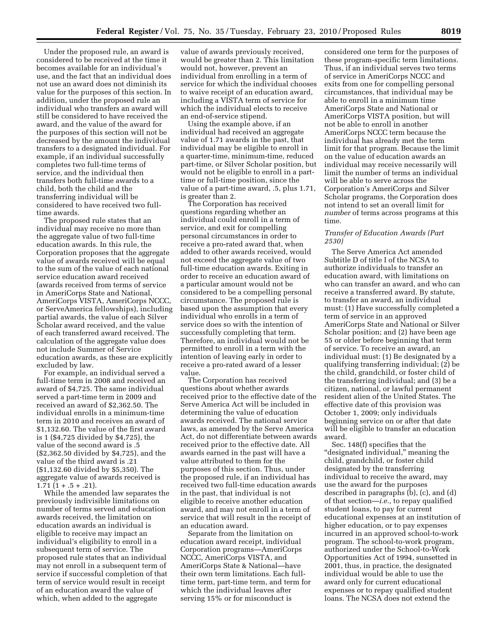Under the proposed rule, an award is considered to be received at the time it becomes available for an individual's use, and the fact that an individual does not use an award does not diminish its value for the purposes of this section. In addition, under the proposed rule an individual who transfers an award will still be considered to have received the award, and the value of the award for the purposes of this section will not be decreased by the amount the individual transfers to a designated individual. For example, if an individual successfully completes two full-time terms of service, and the individual then transfers both full-time awards to a child, both the child and the transferring individual will be considered to have received two fulltime awards.

The proposed rule states that an individual may receive no more than the aggregate value of two full-time education awards. In this rule, the Corporation proposes that the aggregate value of awards received will be equal to the sum of the value of each national service education award received (awards received from terms of service in AmeriCorps State and National, AmeriCorps VISTA, AmeriCorps NCCC, or ServeAmerica fellowships), including partial awards, the value of each Silver Scholar award received, and the value of each transferred award received. The calculation of the aggregate value does not include Summer of Service education awards, as these are explicitly excluded by law.

For example, an individual served a full-time term in 2008 and received an award of \$4,725. The same individual served a part-time term in 2009 and received an award of \$2,362.50. The individual enrolls in a minimum-time term in 2010 and receives an award of \$1,132.60. The value of the first award is 1 (\$4,725 divided by \$4,725), the value of the second award is .5 (\$2,362.50 divided by \$4,725), and the value of the third award is .21 (\$1,132.60 divided by \$5,350). The aggregate value of awards received is  $1.71$   $(1 + .5 + .21)$ .

While the amended law separates the previously indivisible limitations on number of terms served and education awards received, the limitation on education awards an individual is eligible to receive may impact an individual's eligibility to enroll in a subsequent term of service. The proposed rule states that an individual may not enroll in a subsequent term of service if successful completion of that term of service would result in receipt of an education award the value of which, when added to the aggregate

value of awards previously received, would be greater than 2. This limitation would not, however, prevent an individual from enrolling in a term of service for which the individual chooses to waive receipt of an education award, including a VISTA term of service for which the individual elects to receive an end-of-service stipend.

Using the example above, if an individual had received an aggregate value of 1.71 awards in the past, that individual may be eligible to enroll in a quarter-time, minimum-time, reduced part-time, or Silver Scholar position, but would not be eligible to enroll in a parttime or full-time position, since the value of a part-time award, .5, plus 1.71, is greater than 2.

The Corporation has received questions regarding whether an individual could enroll in a term of service, and exit for compelling personal circumstances in order to receive a pro-rated award that, when added to other awards received, would not exceed the aggregate value of two full-time education awards. Exiting in order to receive an education award of a particular amount would not be considered to be a compelling personal circumstance. The proposed rule is based upon the assumption that every individual who enrolls in a term of service does so with the intention of successfully completing that term. Therefore, an individual would not be permitted to enroll in a term with the intention of leaving early in order to receive a pro-rated award of a lesser value.

The Corporation has received questions about whether awards received prior to the effective date of the Serve America Act will be included in determining the value of education awards received. The national service laws, as amended by the Serve America Act, do not differentiate between awards received prior to the effective date. All awards earned in the past will have a value attributed to them for the purposes of this section. Thus, under the proposed rule, if an individual has received two full-time education awards in the past, that individual is not eligible to receive another education award, and may not enroll in a term of service that will result in the receipt of an education award.

Separate from the limitation on education award receipt, individual Corporation programs—AmeriCorps NCCC, AmeriCorps VISTA, and AmeriCorps State & National—have their own term limitations. Each fulltime term, part-time term, and term for which the individual leaves after serving 15% or for misconduct is

considered one term for the purposes of these program-specific term limitations. Thus, if an individual serves two terms of service in AmeriCorps NCCC and exits from one for compelling personal circumstances, that individual may be able to enroll in a minimum time AmeriCorps State and National or AmeriCorps VISTA position, but will not be able to enroll in another AmeriCorps NCCC term because the individual has already met the term limit for that program. Because the limit on the value of education awards an individual may receive necessarily will limit the number of terms an individual will be able to serve across the Corporation's AmeriCorps and Silver Scholar programs, the Corporation does not intend to set an overall limit for *number* of terms across programs at this time.

### *Transfer of Education Awards (Part 2530)*

The Serve America Act amended Subtitle D of title I of the NCSA to authorize individuals to transfer an education award, with limitations on who can transfer an award, and who can receive a transferred award. By statute, to transfer an award, an individual must: (1) Have successfully completed a term of service in an approved AmeriCorps State and National or Silver Scholar position; and (2) have been age 55 or older before beginning that term of service. To receive an award, an individual must: (1) Be designated by a qualifying transferring individual; (2) be the child, grandchild, or foster child of the transferring individual; and (3) be a citizen, national, or lawful permanent resident alien of the United States. The effective date of this provision was October 1, 2009; only individuals beginning service on or after that date will be eligible to transfer an education award.

Sec. 148(f) specifies that the "designated individual," meaning the child, grandchild, or foster child designated by the transferring individual to receive the award, may use the award for the purposes described in paragraphs (b), (c), and (d) of that section—*i.e.,* to repay qualified student loans, to pay for current educational expenses at an institution of higher education, or to pay expenses incurred in an approved school-to-work program. The school-to-work program, authorized under the School-to-Work Opportunities Act of 1994, sunsetted in 2001, thus, in practice, the designated individual would be able to use the award only for current educational expenses or to repay qualified student loans. The NCSA does not extend the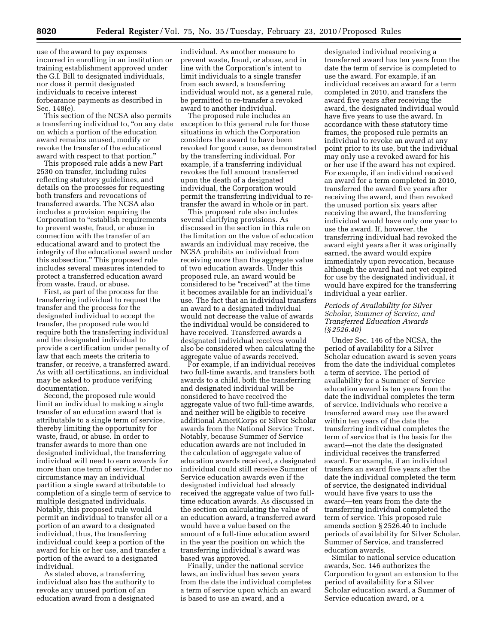use of the award to pay expenses incurred in enrolling in an institution or training establishment approved under the G.I. Bill to designated individuals, nor does it permit designated individuals to receive interest forbearance payments as described in Sec. 148(e).

This section of the NCSA also permits a transferring individual to, "on any date on which a portion of the education award remains unused, modify or revoke the transfer of the educational award with respect to that portion.''

This proposed rule adds a new Part 2530 on transfer, including rules reflecting statutory guidelines, and details on the processes for requesting both transfers and revocations of transferred awards. The NCSA also includes a provision requiring the Corporation to "establish requirements" to prevent waste, fraud, or abuse in connection with the transfer of an educational award and to protect the integrity of the educational award under this subsection.'' This proposed rule includes several measures intended to protect a transferred education award from waste, fraud, or abuse.

First, as part of the process for the transferring individual to request the transfer and the process for the designated individual to accept the transfer, the proposed rule would require both the transferring individual and the designated individual to provide a certification under penalty of law that each meets the criteria to transfer, or receive, a transferred award. As with all certifications, an individual may be asked to produce verifying documentation.

Second, the proposed rule would limit an individual to making a single transfer of an education award that is attributable to a single term of service, thereby limiting the opportunity for waste, fraud, or abuse. In order to transfer awards to more than one designated individual, the transferring individual will need to earn awards for more than one term of service. Under no circumstance may an individual partition a single award attributable to completion of a single term of service to multiple designated individuals. Notably, this proposed rule would permit an individual to transfer all or a portion of an award to a designated individual, thus, the transferring individual could keep a portion of the award for his or her use, and transfer a portion of the award to a designated individual.

As stated above, a transferring individual also has the authority to revoke any unused portion of an education award from a designated

individual. As another measure to prevent waste, fraud, or abuse, and in line with the Corporation's intent to limit individuals to a single transfer from each award, a transferring individual would not, as a general rule, be permitted to re-transfer a revoked award to another individual.

The proposed rule includes an exception to this general rule for those situations in which the Corporation considers the award to have been revoked for good cause, as demonstrated by the transferring individual. For example, if a transferring individual revokes the full amount transferred upon the death of a designated individual, the Corporation would permit the transferring individual to retransfer the award in whole or in part.

This proposed rule also includes several clarifying provisions. As discussed in the section in this rule on the limitation on the value of education awards an individual may receive, the NCSA prohibits an individual from receiving more than the aggregate value of two education awards. Under this proposed rule, an award would be considered to be "received" at the time it becomes available for an individual's use. The fact that an individual transfers an award to a designated individual would not decrease the value of awards the individual would be considered to have received. Transferred awards a designated individual receives would also be considered when calculating the aggregate value of awards received.

For example, if an individual receives two full-time awards, and transfers both awards to a child, both the transferring and designated individual will be considered to have received the aggregate value of two full-time awards, and neither will be eligible to receive additional AmeriCorps or Silver Scholar awards from the National Service Trust. Notably, because Summer of Service education awards are not included in the calculation of aggregate value of education awards received, a designated individual could still receive Summer of Service education awards even if the designated individual had already received the aggregate value of two fulltime education awards. As discussed in the section on calculating the value of an education award, a transferred award would have a value based on the amount of a full-time education award in the year the position on which the transferring individual's award was based was approved.

Finally, under the national service laws, an individual has seven years from the date the individual completes a term of service upon which an award is based to use an award, and a

designated individual receiving a transferred award has ten years from the date the term of service is completed to use the award. For example, if an individual receives an award for a term completed in 2010, and transfers the award five years after receiving the award, the designated individual would have five years to use the award. In accordance with these statutory time frames, the proposed rule permits an individual to revoke an award at any point prior to its use, but the individual may only use a revoked award for his or her use if the award has not expired. For example, if an individual received an award for a term completed in 2010, transferred the award five years after receiving the award, and then revoked the unused portion six years after receiving the award, the transferring individual would have only one year to use the award. If, however, the transferring individual had revoked the award eight years after it was originally earned, the award would expire immediately upon revocation, because although the award had not yet expired for use by the designated individual, it would have expired for the transferring individual a year earlier.

# *Periods of Availability for Silver Scholar, Summer of Service, and Transferred Education Awards (§ 2526.40)*

Under Sec. 146 of the NCSA, the period of availability for a Silver Scholar education award is seven years from the date the individual completes a term of service. The period of availability for a Summer of Service education award is ten years from the date the individual completes the term of service. Individuals who receive a transferred award may use the award within ten years of the date the transferring individual completes the term of service that is the basis for the award—not the date the designated individual receives the transferred award. For example, if an individual transfers an award five years after the date the individual completed the term of service, the designated individual would have five years to use the award—ten years from the date the transferring individual completed the term of service. This proposed rule amends section § 2526.40 to include periods of availability for Silver Scholar, Summer of Service, and transferred education awards.

Similar to national service education awards, Sec. 146 authorizes the Corporation to grant an extension to the period of availability for a Silver Scholar education award, a Summer of Service education award, or a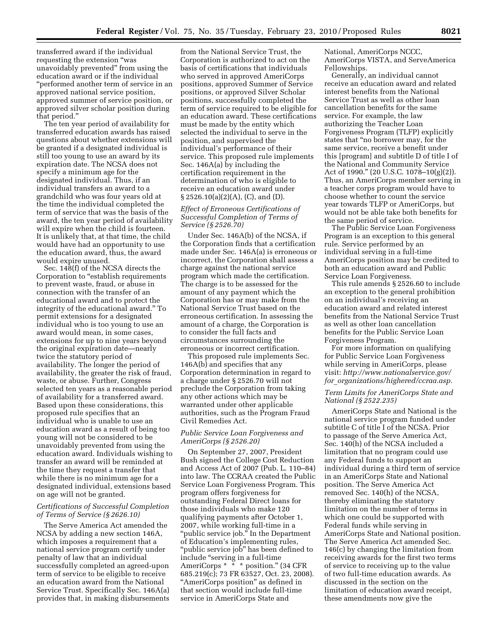transferred award if the individual requesting the extension ''was unavoidably prevented'' from using the education award or if the individual ''performed another term of service in an approved national service position, approved summer of service position, or approved silver scholar position during that period.''

The ten year period of availability for transferred education awards has raised questions about whether extensions will be granted if a designated individual is still too young to use an award by its expiration date. The NCSA does not specify a minimum age for the designated individual. Thus, if an individual transfers an award to a grandchild who was four years old at the time the individual completed the term of service that was the basis of the award, the ten year period of availability will expire when the child is fourteen. It is unlikely that, at that time, the child would have had an opportunity to use the education award, thus, the award would expire unused.

Sec. 148(f) of the NCSA directs the Corporation to ''establish requirements to prevent waste, fraud, or abuse in connection with the transfer of an educational award and to protect the integrity of the educational award.'' To permit extensions for a designated individual who is too young to use an award would mean, in some cases, extensions for up to nine years beyond the original expiration date—nearly twice the statutory period of availability. The longer the period of availability, the greater the risk of fraud, waste, or abuse. Further, Congress selected ten years as a reasonable period of availability for a transferred award. Based upon these considerations, this proposed rule specifies that an individual who is unable to use an education award as a result of being too young will not be considered to be unavoidably prevented from using the education award. Individuals wishing to transfer an award will be reminded at the time they request a transfer that while there is no minimum age for a designated individual, extensions based on age will not be granted.

# *Certifications of Successful Completion of Terms of Service (§ 2626.10)*

The Serve America Act amended the NCSA by adding a new section 146A, which imposes a requirement that a national service program certify under penalty of law that an individual successfully completed an agreed-upon term of service to be eligible to receive an education award from the National Service Trust. Specifically Sec. 146A(a) provides that, in making disbursements

from the National Service Trust, the Corporation is authorized to act on the basis of certifications that individuals who served in approved AmeriCorps positions, approved Summer of Service positions, or approved Silver Scholar positions, successfully completed the term of service required to be eligible for an education award. These certifications must be made by the entity which selected the individual to serve in the position, and supervised the individual's performance of their service. This proposed rule implements Sec. 146A(a) by including the certification requirement in the determination of who is eligible to receive an education award under § 2526.10(a)(2)(A), (C), and (D).

# *Effect of Erroneous Certifications of Successful Completion of Terms of Service (§ 2526.70)*

Under Sec. 146A(b) of the NCSA, if the Corporation finds that a certification made under Sec. 146A(a) is erroneous or incorrect, the Corporation shall assess a charge against the national service program which made the certification. The charge is to be assessed for the amount of any payment which the Corporation has or may make from the National Service Trust based on the erroneous certification. In assessing the amount of a charge, the Corporation is to consider the full facts and circumstances surrounding the erroneous or incorrect certification.

This proposed rule implements Sec. 146A(b) and specifies that any Corporation determination in regard to a charge under § 2526.70 will not preclude the Corporation from taking any other actions which may be warranted under other applicable authorities, such as the Program Fraud Civil Remedies Act.

# *Public Service Loan Forgiveness and AmeriCorps (§ 2526.20)*

On September 27, 2007, President Bush signed the College Cost Reduction and Access Act of 2007 (Pub. L. 110–84) into law. The CCRAA created the Public Service Loan Forgiveness Program. This program offers forgiveness for outstanding Federal Direct loans for those individuals who make 120 qualifying payments after October 1, 2007, while working full-time in a ''public service job.'' In the Department of Education's implementing rules, ''public service job'' has been defined to include ''serving in a full-time AmeriCorps \* \* \* position.'' (34 CFR 685.219(c); 73 FR 63527, Oct. 23, 2008). "AmeriCorps position" as defined in that section would include full-time service in AmeriCorps State and

National, AmeriCorps NCCC, AmeriCorps VISTA, and ServeAmerica Fellowships.

Generally, an individual cannot receive an education award and related interest benefits from the National Service Trust as well as other loan cancellation benefits for the same service. For example, the law authorizing the Teacher Loan Forgiveness Program (TLFP) explicitly states that ''no borrower may, for the same service, receive a benefit under this [program] and subtitle D of title I of the National and Community Service Act of 1990.'' (20 U.S.C. 1078–10(g)(2)). Thus, an AmeriCorps member serving in a teacher corps program would have to choose whether to count the service year towards TLFP or AmeriCorps, but would not be able take both benefits for the same period of service.

The Public Service Loan Forgiveness Program is an exception to this general rule. Service performed by an individual serving in a full-time AmeriCorps position may be credited to both an education award and Public Service Loan Forgiveness.

This rule amends § 2526.60 to include an exception to the general prohibition on an individual's receiving an education award and related interest benefits from the National Service Trust as well as other loan cancellation benefits for the Public Service Loan Forgiveness Program.

For more information on qualifying for Public Service Loan Forgiveness while serving in AmeriCorps, please visit: *http://www.nationalservice.gov/ for*\_*organizations/highered/ccraa.asp.* 

## *Term Limits for AmeriCorps State and National (§ 2522.235)*

AmeriCorps State and National is the national service program funded under subtitle C of title I of the NCSA. Prior to passage of the Serve America Act, Sec. 140(h) of the NCSA included a limitation that no program could use any Federal funds to support an individual during a third term of service in an AmeriCorps State and National position. The Serve America Act removed Sec. 140(h) of the NCSA, thereby eliminating the statutory limitation on the number of terms in which one could be supported with Federal funds while serving in AmeriCorps State and National position. The Serve America Act amended Sec. 146(c) by changing the limitation from receiving awards for the first two terms of service to receiving up to the value of two full-time education awards. As discussed in the section on the limitation of education award receipt, these amendments now give the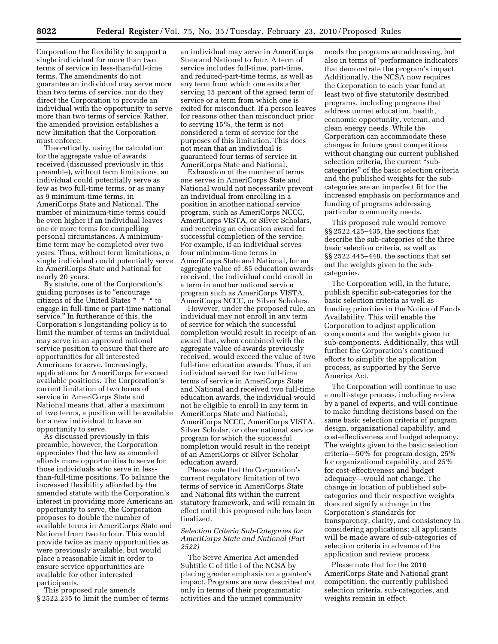Corporation the flexibility to support a single individual for more than two terms of service in less-than-full-time terms. The amendments do not guarantee an individual may serve more than two terms of service, nor do they direct the Corporation to provide an individual with the opportunity to serve more than two terms of service. Rather, the amended provision establishes a new limitation that the Corporation must enforce.

Theoretically, using the calculation for the aggregate value of awards received (discussed previously in this preamble), without term limitations, an individual could potentially serve as few as two full-time terms, or as many as 9 minimum-time terms, in AmeriCorps State and National. The number of minimum-time terms could be even higher if an individual leaves one or more terms for compelling personal circumstances. A minimumtime term may be completed over two years. Thus, without term limitations, a single individual could potentially serve in AmeriCorps State and National for nearly 20 years.

By statute, one of the Corporation's guiding purposes is to ''encourage citizens of the United States \* \* \* to engage in full-time or part-time national service.'' In furtherance of this, the Corporation's longstanding policy is to limit the number of terms an individual may serve in an approved national service position to ensure that there are opportunities for all interested Americans to serve. Increasingly, applications for AmeriCorps far exceed available positions. The Corporation's current limitation of two terms of service in AmeriCorps State and National means that, after a maximum of two terms, a position will be available for a new individual to have an opportunity to serve.

As discussed previously in this preamble, however, the Corporation appreciates that the law as amended affords more opportunities to serve for those individuals who serve in lessthan-full-time positions. To balance the increased flexibility afforded by the amended statute with the Corporation's interest in providing more Americans an opportunity to serve, the Corporation proposes to double the number of available terms in AmeriCorps State and National from two to four. This would provide twice as many opportunities as were previously available, but would place a reasonable limit in order to ensure service opportunities are available for other interested participants.

This proposed rule amends § 2522.235 to limit the number of terms

an individual may serve in AmeriCorps State and National to four. A term of service includes full-time, part-time, and reduced-part-time terms, as well as any term from which one exits after serving 15 percent of the agreed term of service or a term from which one is exited for misconduct. If a person leaves for reasons other than misconduct prior to serving 15%, the term is not considered a term of service for the purposes of this limitation. This does not mean that an individual is guaranteed four terms of service in AmeriCorps State and National.

Exhaustion of the number of terms one serves in AmeriCorps State and National would not necessarily prevent an individual from enrolling in a position in another national service program, such as AmeriCorps NCCC, AmeriCorps VISTA, or Silver Scholars, and receiving an education award for successful completion of the service. For example, if an individual serves four minimum-time terms in AmeriCorps State and National, for an aggregate value of .85 education awards received, the individual could enroll in a term in another national service program such as AmeriCorps VISTA, AmeriCorps NCCC, or Silver Scholars.

However, under the proposed rule, an individual may not enroll in any term of service for which the successful completion would result in receipt of an award that, when combined with the aggregate value of awards previously received, would exceed the value of two full-time education awards. Thus, if an individual served for two full-time terms of service in AmeriCorps State and National and received two full-time education awards, the individual would not be eligible to enroll in any term in AmeriCorps State and National, AmeriCorps NCCC, AmeriCorps VISTA, Silver Scholar, or other national service program for which the successful completion would result in the receipt of an AmeriCorps or Silver Scholar education award.

Please note that the Corporation's current regulatory limitation of two terms of service in AmeriCorps State and National fits within the current statutory framework, and will remain in effect until this proposed rule has been finalized.

# *Selection Criteria Sub-Categories for AmeriCorps State and National (Part 2522)*

The Serve America Act amended Subtitle C of title I of the NCSA by placing greater emphasis on a grantee's impact. Programs are now described not only in terms of their programmatic activities and the unmet community

needs the programs are addressing, but also in terms of 'performance indicators' that demonstrate the program's impact. Additionally, the NCSA now requires the Corporation to each year fund at least two of five statutorily described programs, including programs that address unmet education, health, economic opportunity, veteran, and clean energy needs. While the Corporation can accommodate these changes in future grant competitions without changing our current published selection criteria, the current "subcategories'' of the basic selection criteria and the published weights for the subcategories are an imperfect fit for the increased emphasis on performance and funding of programs addressing particular community needs.

This proposed rule would remove §§ 2522.425–435, the sections that describe the sub-categories of the three basic selection criteria, as well as §§ 2522.445–448, the sections that set out the weights given to the subcategories.

The Corporation will, in the future, publish specific sub-categories for the basic selection criteria as well as funding priorities in the Notice of Funds Availability. This will enable the Corporation to adjust application components and the weights given to sub-components. Additionally, this will further the Corporation's continued efforts to simplify the application process, as supported by the Serve America Act.

The Corporation will continue to use a multi-stage process, including review by a panel of experts, and will continue to make funding decisions based on the same basic selection criteria of program design, organizational capability, and cost-effectiveness and budget adequacy. The weights given to the basic selection criteria—50% for program design, 25% for organizational capability, and 25% for cost-effectiveness and budget adequacy—would not change. The change in location of published subcategories and their respective weights does not signify a change in the Corporation's standards for transparency, clarity, and consistency in considering applications; all applicants will be made aware of sub-categories of selection criteria in advance of the application and review process.

Please note that for the 2010 AmeriCorps State and National grant competition, the currently published selection criteria, sub-categories, and weights remain in effect.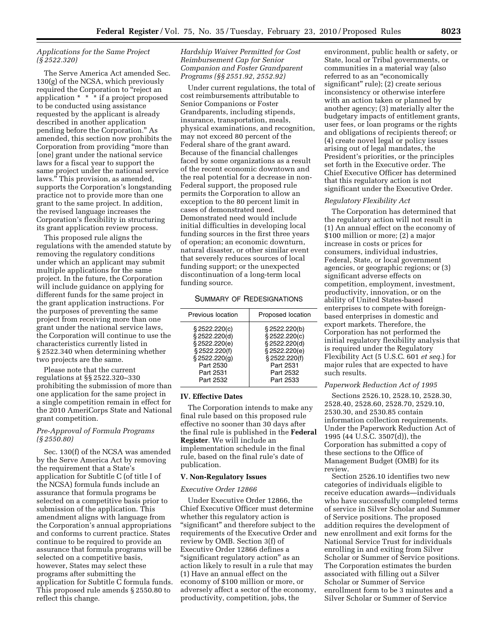# *Applications for the Same Project (§ 2522.320)*

The Serve America Act amended Sec. 130(g) of the NCSA, which previously required the Corporation to ''reject an application \* \* \* if a project proposed to be conducted using assistance requested by the applicant is already described in another application pending before the Corporation.'' As amended, this section now prohibits the Corporation from providing ''more than [one] grant under the national service laws for a fiscal year to support the same project under the national service laws.'' This provision, as amended, supports the Corporation's longstanding practice not to provide more than one grant to the same project. In addition, the revised language increases the Corporation's flexibility in structuring its grant application review process.

This proposed rule aligns the regulations with the amended statute by removing the regulatory conditions under which an applicant may submit multiple applications for the same project. In the future, the Corporation will include guidance on applying for different funds for the same project in the grant application instructions. For the purposes of preventing the same project from receiving more than one grant under the national service laws, the Corporation will continue to use the characteristics currently listed in § 2522.340 when determining whether two projects are the same.

Please note that the current regulations at §§ 2522.320–330 prohibiting the submission of more than one application for the same project in a single competition remain in effect for the 2010 AmeriCorps State and National grant competition.

# *Pre-Approval of Formula Programs (§ 2550.80)*

Sec. 130(f) of the NCSA was amended by the Serve America Act by removing the requirement that a State's application for Subtitle C (of title I of the NCSA) formula funds include an assurance that formula programs be selected on a competitive basis prior to submission of the application. This amendment aligns with language from the Corporation's annual appropriations and conforms to current practice. States continue to be required to provide an assurance that formula programs will be selected on a competitive basis, however, States may select these programs after submitting the application for Subtitle C formula funds. This proposed rule amends § 2550.80 to reflect this change.

# *Hardship Waiver Permitted for Cost Reimbursement Cap for Senior Companion and Foster Grandparent Programs (§§ 2551.92, 2552.92)*

Under current regulations, the total of cost reimbursements attributable to Senior Companions or Foster Grandparents, including stipends, insurance, transportation, meals, physical examinations, and recognition, may not exceed 80 percent of the Federal share of the grant award. Because of the financial challenges faced by some organizations as a result of the recent economic downtown and the real potential for a decrease in non-Federal support, the proposed rule permits the Corporation to allow an exception to the 80 percent limit in cases of demonstrated need. Demonstrated need would include initial difficulties in developing local funding sources in the first three years of operation; an economic downturn, natural disaster, or other similar event that severely reduces sources of local funding support; or the unexpected discontinuation of a long-term local funding source.

# SUMMARY OF REDESIGNATIONS

| Previous location                                                                                                        | Proposed location                                                                                                      |
|--------------------------------------------------------------------------------------------------------------------------|------------------------------------------------------------------------------------------------------------------------|
| \$2522.220(c)<br>§ 2522.220(d)<br>§ 2522.220(e)<br>§ 2522.220(f)<br>§ 2522.220(g)<br>Part 2530<br>Part 2531<br>Part 2532 | §2522.220(b)<br>§ 2522.220(c)<br>§ 2522.220(d)<br>§2522.220(e)<br>§ 2522.220(f)<br>Part 2531<br>Part 2532<br>Part 2533 |
|                                                                                                                          |                                                                                                                        |

## **IV. Effective Dates**

The Corporation intends to make any final rule based on this proposed rule effective no sooner than 30 days after the final rule is published in the **Federal Register**. We will include an implementation schedule in the final rule, based on the final rule's date of publication.

### **V. Non-Regulatory Issues**

### *Executive Order 12866*

Under Executive Order 12866, the Chief Executive Officer must determine whether this regulatory action is "significant" and therefore subject to the requirements of the Executive Order and review by OMB. Section 3(f) of Executive Order 12866 defines a "significant regulatory action" as an action likely to result in a rule that may (1) Have an annual effect on the economy of \$100 million or more, or adversely affect a sector of the economy, productivity, competition, jobs, the

environment, public health or safety, or State, local or Tribal governments, or communities in a material way (also referred to as an "economically significant'' rule); (2) create serious inconsistency or otherwise interfere with an action taken or planned by another agency; (3) materially alter the budgetary impacts of entitlement grants, user fees, or loan programs or the rights and obligations of recipients thereof; or (4) create novel legal or policy issues arising out of legal mandates, the President's priorities, or the principles set forth in the Executive order. The Chief Executive Officer has determined that this regulatory action is not significant under the Executive Order.

### *Regulatory Flexibility Act*

The Corporation has determined that the regulatory action will not result in (1) An annual effect on the economy of \$100 million or more; (2) a major increase in costs or prices for consumers, individual industries, Federal, State, or local government agencies, or geographic regions; or (3) significant adverse effects on competition, employment, investment, productivity, innovation, or on the ability of United States-based enterprises to compete with foreignbased enterprises in domestic and export markets. Therefore, the Corporation has not performed the initial regulatory flexibility analysis that is required under the Regulatory Flexibility Act (5 U.S.C. 601 *et seq.*) for major rules that are expected to have such results.

## *Paperwork Reduction Act of 1995*

Sections 2526.10, 2528.10, 2528.30, 2528.40, 2528.60, 2528.70, 2529.10, 2530.30, and 2530.85 contain information collection requirements. Under the Paperwork Reduction Act of 1995 (44 U.S.C. 3507(d)), the Corporation has submitted a copy of these sections to the Office of Management Budget (OMB) for its review.

Section 2526.10 identifies two new categories of individuals eligible to receive education awards—individuals who have successfully completed terms of service in Silver Scholar and Summer of Service positions. The proposed addition requires the development of new enrollment and exit forms for the National Service Trust for individuals enrolling in and exiting from Silver Scholar or Summer of Service positions. The Corporation estimates the burden associated with filling out a Silver Scholar or Summer of Service enrollment form to be 3 minutes and a Silver Scholar or Summer of Service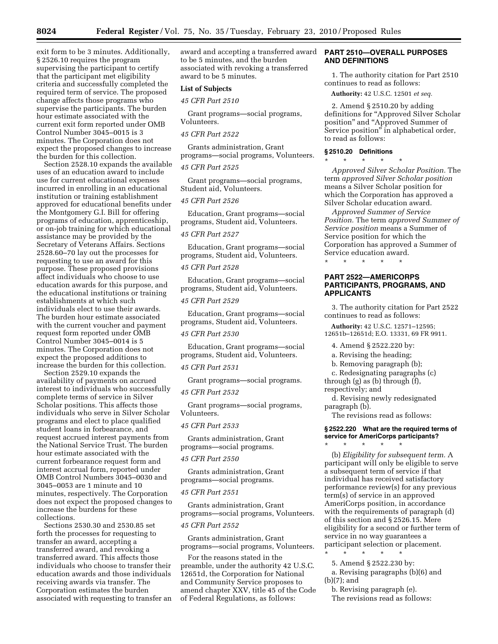exit form to be 3 minutes. Additionally, § 2526.10 requires the program supervising the participant to certify that the participant met eligibility criteria and successfully completed the required term of service. The proposed change affects those programs who supervise the participants. The burden hour estimate associated with the current exit form reported under OMB Control Number 3045–0015 is 3 minutes. The Corporation does not expect the proposed changes to increase the burden for this collection.

Section 2528.10 expands the available uses of an education award to include use for current educational expenses incurred in enrolling in an educational institution or training establishment approved for educational benefits under the Montgomery G.I. Bill for offering programs of education, apprenticeship, or on-job training for which educational assistance may be provided by the Secretary of Veterans Affairs. Sections 2528.60–70 lay out the processes for requesting to use an award for this purpose. These proposed provisions affect individuals who choose to use education awards for this purpose, and the educational institutions or training establishments at which such individuals elect to use their awards. The burden hour estimate associated with the current voucher and payment request form reported under OMB Control Number 3045–0014 is 5 minutes. The Corporation does not expect the proposed additions to increase the burden for this collection.

Section 2529.10 expands the availability of payments on accrued interest to individuals who successfully complete terms of service in Silver Scholar positions. This affects those individuals who serve in Silver Scholar programs and elect to place qualified student loans in forbearance, and request accrued interest payments from the National Service Trust. The burden hour estimate associated with the current forbearance request form and interest accrual form, reported under OMB Control Numbers 3045–0030 and 3045–0053 are 1 minute and 10 minutes, respectively. The Corporation does not expect the proposed changes to increase the burdens for these collections.

Sections 2530.30 and 2530.85 set forth the processes for requesting to transfer an award, accepting a transferred award, and revoking a transferred award. This affects those individuals who choose to transfer their education awards and those individuals receiving awards via transfer. The Corporation estimates the burden associated with requesting to transfer an award and accepting a transferred award to be 5 minutes, and the burden associated with revoking a transferred award to be 5 minutes.

# **List of Subjects**

*45 CFR Part 2510* 

Grant programs—social programs, Volunteers.

# *45 CFR Part 2522*

Grants administration, Grant programs—social programs, Volunteers.

# *45 CFR Part 2525*

Grant programs—social programs, Student aid, Volunteers.

# *45 CFR Part 2526*

Education, Grant programs—social programs, Student aid, Volunteers.

# *45 CFR Part 2527*

Education, Grant programs—social programs, Student aid, Volunteers.

### *45 CFR Part 2528*

Education, Grant programs—social programs, Student aid, Volunteers.

### *45 CFR Part 2529*

Education, Grant programs—social programs, Student aid, Volunteers.

#### *45 CFR Part 2530*

Education, Grant programs—social programs, Student aid, Volunteers.

### *45 CFR Part 2531*

Grant programs—social programs.

# *45 CFR Part 2532*

Grant programs—social programs, Volunteers.

# *45 CFR Part 2533*

Grants administration, Grant programs—social programs.

# *45 CFR Part 2550*

Grants administration, Grant programs—social programs.

### *45 CFR Part 2551*

Grants administration, Grant programs—social programs, Volunteers.

## *45 CFR Part 2552*

Grants administration, Grant programs—social programs, Volunteers.

For the reasons stated in the preamble, under the authority 42 U.S.C. 12651d, the Corporation for National and Community Service proposes to amend chapter XXV, title 45 of the Code of Federal Regulations, as follows:

# **PART 2510—OVERALL PURPOSES AND DEFINITIONS**

1. The authority citation for Part 2510 continues to read as follows:

**Authority:** 42 U.S.C. 12501 *et seq.* 

2. Amend § 2510.20 by adding definitions for "Approved Silver Scholar position'' and ''Approved Summer of Service position'' in alphabetical order, to read as follows:

#### **§ 2510.20 Definitions**  \* \* \* \* \*

*Approved Silver Scholar Position.* The term *approved Silver Scholar position*  means a Silver Scholar position for which the Corporation has approved a

Silver Scholar education award. *Approved Summer of Service Position.* The term *approved Summer of Service position* means a Summer of Service position for which the Corporation has approved a Summer of Service education award.

\* \* \* \* \*

# **PART 2522—AMERICORPS PARTICIPANTS, PROGRAMS, AND APPLICANTS**

3. The authority citation for Part 2522 continues to read as follows:

**Authority:** 42 U.S.C. 12571–12595; 12651b–12651d; E.O. 13331, 69 FR 9911.

4. Amend § 2522.220 by:

a. Revising the heading;

b. Removing paragraph (b);

c. Redesignating paragraphs (c)

through (g) as (b) through (f), respectively; and

d. Revising newly redesignated paragraph (b).

The revisions read as follows:

\* \* \* \* \*

# **§ 2522.220 What are the required terms of service for AmeriCorps participants?**

(b) *Eligibility for subsequent term.* A participant will only be eligible to serve a subsequent term of service if that individual has received satisfactory performance review(s) for any previous term(s) of service in an approved AmeriCorps position, in accordance with the requirements of paragraph (d) of this section and § 2526.15. Mere eligibility for a second or further term of service in no way guarantees a participant selection or placement. \* \* \* \* \*

5. Amend § 2522.230 by:

- a. Revising paragraphs (b)(6) and
- (b)(7); and

b. Revising paragraph (e). The revisions read as follows: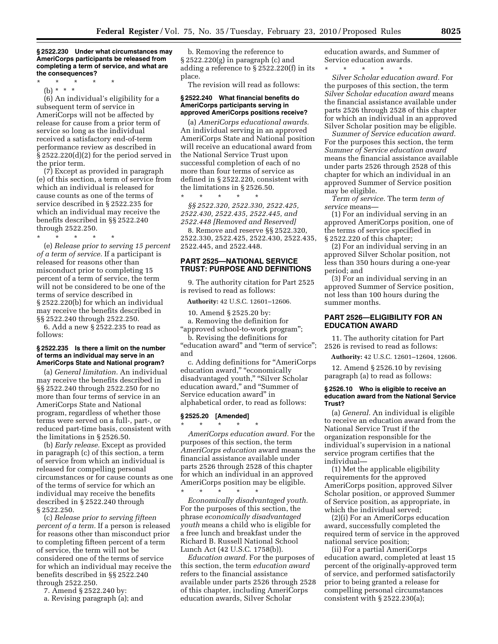**§ 2522.230 Under what circumstances may AmeriCorps participants be released from completing a term of service, and what are the consequences?** 

\* \* \* \* \*

(b) \* \* \* (6) An individual's eligibility for a subsequent term of service in AmeriCorps will not be affected by release for cause from a prior term of service so long as the individual received a satisfactory end-of-term performance review as described in § 2522.220(d)(2) for the period served in the prior term.

(7) Except as provided in paragraph (e) of this section, a term of service from which an individual is released for cause counts as one of the terms of service described in § 2522.235 for which an individual may receive the benefits described in §§ 2522.240 through 2522.250.

\* \* \* \* \*

(e) *Release prior to serving 15 percent of a term of service.* If a participant is released for reasons other than misconduct prior to completing 15 percent of a term of service, the term will not be considered to be one of the terms of service described in § 2522.220(b) for which an individual may receive the benefits described in §§ 2522.240 through 2522.250.

6. Add a new § 2522.235 to read as follows:

### **§ 2522.235 Is there a limit on the number of terms an individual may serve in an AmeriCorps State and National program?**

(a) *General limitation.* An individual may receive the benefits described in §§ 2522.240 through 2522.250 for no more than four terms of service in an AmeriCorps State and National program, regardless of whether those terms were served on a full-, part-, or reduced part-time basis, consistent with the limitations in § 2526.50.

(b) *Early release.* Except as provided in paragraph (c) of this section, a term of service from which an individual is released for compelling personal circumstances or for cause counts as one of the terms of service for which an individual may receive the benefits described in § 2522.240 through § 2522.250.

(c) *Release prior to serving fifteen percent of a term.* If a person is released for reasons other than misconduct prior to completing fifteen percent of a term of service, the term will not be considered one of the terms of service for which an individual may receive the benefits described in §§ 2522.240 through 2522.250.

7. Amend § 2522.240 by:

a. Revising paragraph (a); and

b. Removing the reference to § 2522.220(g) in paragraph (c) and adding a reference to § 2522.220(f) in its place.

The revision will read as follows:

### **§ 2522.240 What financial benefits do AmeriCorps participants serving in approved AmeriCorps positions receive?**

(a) *AmeriCorps educational awards.*  An individual serving in an approved AmeriCorps State and National position will receive an educational award from the National Service Trust upon successful completion of each of no more than four terms of service as defined in § 2522.220, consistent with the limitations in § 2526.50. \* \* \* \* \*

*§§ 2522.320, 2522.330, 2522.425, 2522.430, 2522.435, 2522.445, and 2522.448 [Removed and Reserved]* 

8. Remove and reserve §§ 2522.320, 2522.330, 2522.425, 2522.430, 2522.435, 2522.445, and 2522.448.

# **PART 2525—NATIONAL SERVICE TRUST: PURPOSE AND DEFINITIONS**

9. The authority citation for Part 2525 is revised to read as follows:

**Authority:** 42 U.S.C. 12601–12606.

10. Amend § 2525.20 by:

a. Removing the definition for ''approved school-to-work program'';

b. Revising the definitions for "education award" and "term of service"; and

c. Adding definitions for ''AmeriCorps education award," "economically disadvantaged youth," "Silver Scholar education award,'' and ''Summer of Service education award'' in alphabetical order, to read as follows:

### **§ 2525.20 [Amended]**

\* \* \* \* \* *AmeriCorps education award.* For the purposes of this section, the term *AmeriCorps education* award means the financial assistance available under parts 2526 through 2528 of this chapter for which an individual in an approved AmeriCorps position may be eligible.

\* \* \* \* \* *Economically disadvantaged youth.*  For the purposes of this section, the phrase *economically disadvantaged youth* means a child who is eligible for a free lunch and breakfast under the Richard B. Russell National School Lunch Act (42 U.S.C. 1758(b)).

*Education award.* For the purposes of this section, the term *education award*  refers to the financial assistance available under parts 2526 through 2528 of this chapter, including AmeriCorps education awards, Silver Scholar

education awards, and Summer of Service education awards.

\* \* \* \* \* *Silver Scholar education award.* For the purposes of this section, the term *Silver Scholar education award* means the financial assistance available under parts 2526 through 2528 of this chapter for which an individual in an approved Silver Scholar position may be eligible.

*Summer of Service education award.*  For the purposes this section, the term *Summer of Service education award*  means the financial assistance available under parts 2526 through 2528 of this chapter for which an individual in an approved Summer of Service position may be eligible.

*Term of service.* The term *term of service* means—

(1) For an individual serving in an approved AmeriCorps position, one of the terms of service specified in § 2522.220 of this chapter;

(2) For an individual serving in an approved Silver Scholar position, not less than 350 hours during a one-year period; and

(3) For an individual serving in an approved Summer of Service position, not less than 100 hours during the summer months.

# **PART 2526—ELIGIBILITY FOR AN EDUCATION AWARD**

11. The authority citation for Part 2526 is revised to read as follows:

**Authority:** 42 U.S.C. 12601–12604, 12606.

12. Amend § 2526.10 by revising paragraph (a) to read as follows:

### **§ 2526.10 Who is eligible to receive an education award from the National Service Trust?**

(a) *General.* An individual is eligible to receive an education award from the National Service Trust if the organization responsible for the individual's supervision in a national service program certifies that the individual—

(1) Met the applicable eligibility requirements for the approved AmeriCorps position, approved Silver Scholar position, or approved Summer of Service position, as appropriate, in which the individual served;

(2)(i) For an AmeriCorps education award, successfully completed the required term of service in the approved national service position;

(ii) For a partial AmeriCorps education award, completed at least 15 percent of the originally-approved term of service, and performed satisfactorily prior to being granted a release for compelling personal circumstances consistent with § 2522.230(a);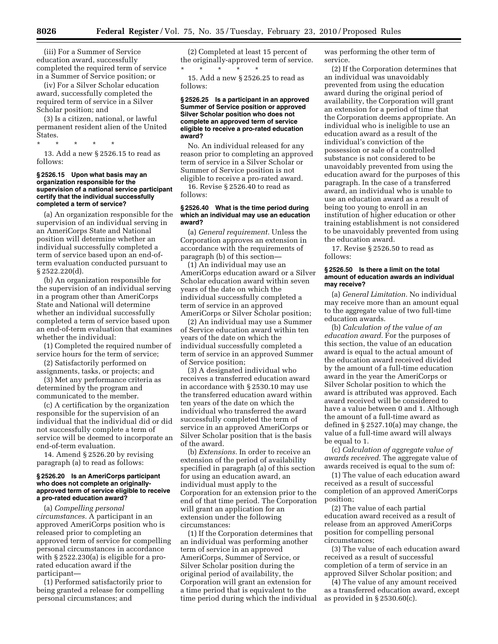(iii) For a Summer of Service education award, successfully completed the required term of service in a Summer of Service position; or

(iv) For a Silver Scholar education award, successfully completed the required term of service in a Silver Scholar position; and

(3) Is a citizen, national, or lawful permanent resident alien of the United States.

\* \* \* \* \* 13. Add a new § 2526.15 to read as follows:

### **§ 2526.15 Upon what basis may an organization responsible for the supervision of a national service participant certify that the individual successfully completed a term of service?**

(a) An organization responsible for the supervision of an individual serving in an AmeriCorps State and National position will determine whether an individual successfully completed a term of service based upon an end-ofterm evaluation conducted pursuant to § 2522.220(d).

(b) An organization responsible for the supervision of an individual serving in a program other than AmeriCorps State and National will determine whether an individual successfully completed a term of service based upon an end-of-term evaluation that examines whether the individual:

(1) Completed the required number of service hours for the term of service;

(2) Satisfactorily performed on assignments, tasks, or projects; and

(3) Met any performance criteria as determined by the program and communicated to the member.

(c) A certification by the organization responsible for the supervision of an individual that the individual did or did not successfully complete a term of service will be deemed to incorporate an end-of-term evaluation.

14. Amend § 2526.20 by revising paragraph (a) to read as follows:

### **§ 2526.20 Is an AmeriCorps participant who does not complete an originallyapproved term of service eligible to receive a pro-rated education award?**

(a) *Compelling personal circumstances.* A participant in an approved AmeriCorps position who is released prior to completing an approved term of service for compelling personal circumstances in accordance with § 2522.230(a) is eligible for a prorated education award if the participant—

(1) Performed satisfactorily prior to being granted a release for compelling personal circumstances; and

(2) Completed at least 15 percent of the originally-approved term of service. \* \* \* \* \*

15. Add a new § 2526.25 to read as follows:

### **§ 2526.25 Is a participant in an approved Summer of Service position or approved Silver Scholar position who does not complete an approved term of service eligible to receive a pro-rated education award?**

No. An individual released for any reason prior to completing an approved term of service in a Silver Scholar or Summer of Service position is not eligible to receive a pro-rated award.

16. Revise § 2526.40 to read as follows:

#### **§ 2526.40 What is the time period during which an individual may use an education award?**

(a) *General requirement.* Unless the Corporation approves an extension in accordance with the requirements of paragraph (b) of this section—

(1) An individual may use an AmeriCorps education award or a Silver Scholar education award within seven years of the date on which the individual successfully completed a term of service in an approved AmeriCorps or Silver Scholar position;

(2) An individual may use a Summer of Service education award within ten years of the date on which the individual successfully completed a term of service in an approved Summer of Service position;

(3) A designated individual who receives a transferred education award in accordance with § 2530.10 may use the transferred education award within ten years of the date on which the individual who transferred the award successfully completed the term of service in an approved AmeriCorps or Silver Scholar position that is the basis of the award.

(b) *Extensions.* In order to receive an extension of the period of availability specified in paragraph (a) of this section for using an education award, an individual must apply to the Corporation for an extension prior to the end of that time period. The Corporation will grant an application for an extension under the following circumstances:

(1) If the Corporation determines that an individual was performing another term of service in an approved AmeriCorps, Summer of Service, or Silver Scholar position during the original period of availability, the Corporation will grant an extension for a time period that is equivalent to the time period during which the individual was performing the other term of service.

(2) If the Corporation determines that an individual was unavoidably prevented from using the education award during the original period of availability, the Corporation will grant an extension for a period of time that the Corporation deems appropriate. An individual who is ineligible to use an education award as a result of the individual's conviction of the possession or sale of a controlled substance is not considered to be unavoidably prevented from using the education award for the purposes of this paragraph. In the case of a transferred award, an individual who is unable to use an education award as a result of being too young to enroll in an institution of higher education or other training establishment is not considered to be unavoidably prevented from using the education award.

17. Revise § 2526.50 to read as follows:

#### **§ 2526.50 Is there a limit on the total amount of education awards an individual may receive?**

(a) *General Limitation.* No individual may receive more than an amount equal to the aggregate value of two full-time education awards.

(b) *Calculation of the value of an education award.* For the purposes of this section, the value of an education award is equal to the actual amount of the education award received divided by the amount of a full-time education award in the year the AmeriCorps or Silver Scholar position to which the award is attributed was approved. Each award received will be considered to have a value between 0 and 1. Although the amount of a full-time award as defined in § 2527.10(a) may change, the value of a full-time award will always be equal to 1.

(c) *Calculation of aggregate value of awards received.* The aggregate value of awards received is equal to the sum of:

(1) The value of each education award received as a result of successful completion of an approved AmeriCorps position;

(2) The value of each partial education award received as a result of release from an approved AmeriCorps position for compelling personal circumstances;

(3) The value of each education award received as a result of successful completion of a term of service in an approved Silver Scholar position; and

(4) The value of any amount received as a transferred education award, except as provided in § 2530.60(c).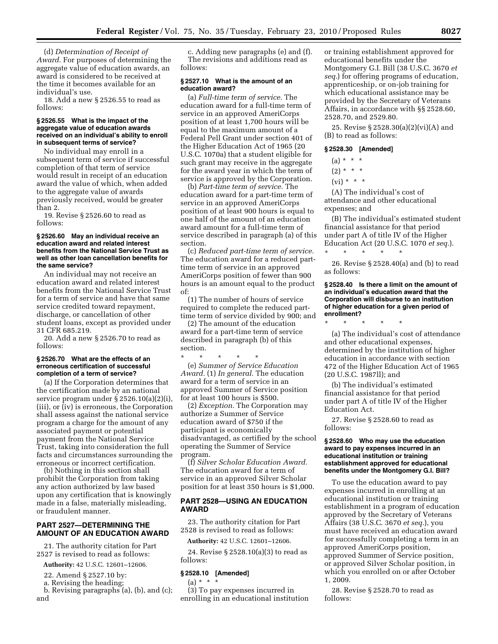(d) *Determination of Receipt of Award.* For purposes of determining the aggregate value of education awards, an award is considered to be received at the time it becomes available for an individual's use.

18. Add a new § 2526.55 to read as follows:

### **§ 2526.55 What is the impact of the aggregate value of education awards received on an individual's ability to enroll in subsequent terms of service?**

No individual may enroll in a subsequent term of service if successful completion of that term of service would result in receipt of an education award the value of which, when added to the aggregate value of awards previously received, would be greater than 2.

19. Revise § 2526.60 to read as follows:

### **§ 2526.60 May an individual receive an education award and related interest benefits from the National Service Trust as well as other loan cancellation benefits for the same service?**

An individual may not receive an education award and related interest benefits from the National Service Trust for a term of service and have that same service credited toward repayment, discharge, or cancellation of other student loans, except as provided under 31 CFR 685.219.

20. Add a new § 2526.70 to read as follows:

# **§ 2526.70 What are the effects of an erroneous certification of successful completion of a term of service?**

(a) If the Corporation determines that the certification made by an national service program under § 2526.10(a)(2)(i), (iii), or (iv) is erroneous, the Corporation shall assess against the national service program a charge for the amount of any associated payment or potential payment from the National Service Trust, taking into consideration the full facts and circumstances surrounding the erroneous or incorrect certification.

(b) Nothing in this section shall prohibit the Corporation from taking any action authorized by law based upon any certification that is knowingly made in a false, materially misleading, or fraudulent manner.

## **PART 2527—DETERMINING THE AMOUNT OF AN EDUCATION AWARD**

21. The authority citation for Part 2527 is revised to read as follows:

**Authority:** 42 U.S.C. 12601–12606.

22. Amend § 2527.10 by:

a. Revising the heading;

b. Revising paragraphs (a), (b), and (c); and

c. Adding new paragraphs (e) and (f). The revisions and additions read as follows:

### **§ 2527.10 What is the amount of an education award?**

(a) *Full-time term of service.* The education award for a full-time term of service in an approved AmeriCorps position of at least 1,700 hours will be equal to the maximum amount of a Federal Pell Grant under section 401 of the Higher Education Act of 1965 (20 U.S.C. 1070a) that a student eligible for such grant may receive in the aggregate for the award year in which the term of service is approved by the Corporation.

(b) *Part-time term of service.* The education award for a part-time term of service in an approved AmeriCorps position of at least 900 hours is equal to one half of the amount of an education award amount for a full-time term of service described in paragraph (a) of this section.

(c) *Reduced part-time term of service.*  The education award for a reduced parttime term of service in an approved AmeriCorps position of fewer than 900 hours is an amount equal to the product of:

(1) The number of hours of service required to complete the reduced parttime term of service divided by 900; and

(2) The amount of the education award for a part-time term of service described in paragraph (b) of this section.

\* \* \* \* \* (e) *Summer of Service Education Award.* (1) *In general.* The education award for a term of service in an approved Summer of Service position for at least 100 hours is \$500.

(2) *Exception.* The Corporation may authorize a Summer of Service education award of \$750 if the participant is economically disadvantaged, as certified by the school operating the Summer of Service program.

(f) *Silver Scholar Education Award.*  The education award for a term of service in an approved Silver Scholar position for at least 350 hours is \$1,000.

# **PART 2528—USING AN EDUCATION AWARD**

23. The authority citation for Part 2528 is revised to read as follows:

**Authority:** 42 U.S.C. 12601–12606.

24. Revise § 2528.10(a)(3) to read as follows:

# **§ 2528.10 [Amended]**

 $(a) * * * *$ 

(3) To pay expenses incurred in enrolling in an educational institution

or training establishment approved for educational benefits under the Montgomery G.I. Bill (38 U.S.C. 3670 *et seq.*) for offering programs of education, apprenticeship, or on-job training for which educational assistance may be provided by the Secretary of Veterans Affairs, in accordance with §§ 2528.60, 2528.70, and 2529.80.

25. Revise § 2528.30(a)(2)(vi)(A) and (B) to read as follows:

### **§ 2528.30 [Amended]**

- $(a) * * * *$
- $(2) * * * *$
- $(vi) * * * *$
- 

(A) The individual's cost of attendance and other educational expenses; and

(B) The individual's estimated student financial assistance for that period under part A of title IV of the Higher Education Act (20 U.S.C. 1070 *et seq.*).

26. Revise § 2528.40(a) and (b) to read as follows:

### **§ 2528.40 Is there a limit on the amount of an individual's education award that the Corporation will disburse to an institution of higher education for a given period of enrollment?**

\* \* \* \* \*

\* \* \* \* \*

(a) The individual's cost of attendance and other educational expenses, determined by the institution of higher education in accordance with section 472 of the Higher Education Act of 1965 (20 U.S.C. 1987ll); and

(b) The individual's estimated financial assistance for that period under part A of title IV of the Higher Education Act.

27. Revise § 2528.60 to read as follows:

### **§ 2528.60 Who may use the education award to pay expenses incurred in an educational institution or training establishment approved for educational benefits under the Montgomery G.I. Bill?**

To use the education award to pay expenses incurred in enrolling at an educational institution or training establishment in a program of education approved by the Secretary of Veterans Affairs (38 U.S.C. 3670 *et seq.*), you must have received an education award for successfully completing a term in an approved AmeriCorps position, approved Summer of Service position, or approved Silver Scholar position, in which you enrolled on or after October 1, 2009.

28. Revise § 2528.70 to read as follows: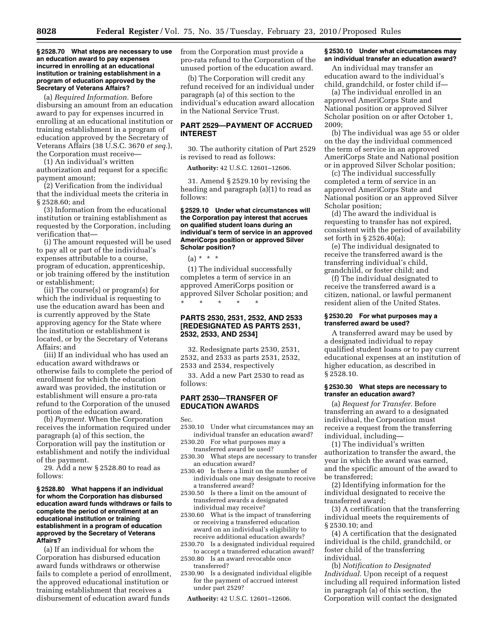#### **§ 2528.70 What steps are necessary to use an education award to pay expenses incurred in enrolling at an educational institution or training establishment in a program of education approved by the Secretary of Veterans Affairs?**

(a) *Required Information.* Before disbursing an amount from an education award to pay for expenses incurred in enrolling at an educational institution or training establishment in a program of education approved by the Secretary of Veterans Affairs (38 U.S.C. 3670 *et seq.*), the Corporation must receive—

(1) An individual's written authorization and request for a specific payment amount;

(2) Verification from the individual that the individual meets the criteria in § 2528.60; and

(3) Information from the educational institution or training establishment as requested by the Corporation, including verification that—

(i) The amount requested will be used to pay all or part of the individual's expenses attributable to a course, program of education, apprenticeship, or job training offered by the institution or establishment;

(ii) The course(s) or program(s) for which the individual is requesting to use the education award has been and is currently approved by the State approving agency for the State where the institution or establishment is located, or by the Secretary of Veterans Affairs; and

(iii) If an individual who has used an education award withdraws or otherwise fails to complete the period of enrollment for which the education award was provided, the institution or establishment will ensure a pro-rata refund to the Corporation of the unused portion of the education award.

(b) *Payment.* When the Corporation receives the information required under paragraph (a) of this section, the Corporation will pay the institution or establishment and notify the individual of the payment.

29. Add a new § 2528.80 to read as follows:

### **§ 2528.80 What happens if an individual for whom the Corporation has disbursed education award funds withdraws or fails to complete the period of enrollment at an educational institution or training establishment in a program of education approved by the Secretary of Veterans Affairs?**

(a) If an individual for whom the Corporation has disbursed education award funds withdraws or otherwise fails to complete a period of enrollment, the approved educational institution or training establishment that receives a disbursement of education award funds

from the Corporation must provide a pro-rata refund to the Corporation of the unused portion of the education award.

(b) The Corporation will credit any refund received for an individual under paragraph (a) of this section to the individual's education award allocation in the National Service Trust.

# **PART 2529—PAYMENT OF ACCRUED INTEREST**

30. The authority citation of Part 2529 is revised to read as follows:

**Authority:** 42 U.S.C. 12601–12606.

31. Amend § 2529.10 by revising the heading and paragraph (a)(1) to read as follows:

### **§ 2529.10 Under what circumstances will the Corporation pay interest that accrues on qualified student loans during an individual's term of service in an approved AmeriCorps position or approved Silver Scholar position?**

 $(a) * * * *$ 

(1) The individual successfully completes a term of service in an approved AmeriCorps position or approved Silver Scholar position; and \* \* \* \* \*

# **PARTS 2530, 2531, 2532, AND 2533 [REDESIGNATED AS PARTS 2531, 2532, 2533, AND 2534]**

32. Redesignate parts 2530, 2531, 2532, and 2533 as parts 2531, 2532, 2533 and 2534, respectively

33. Add a new Part 2530 to read as follows:

# **PART 2530—TRANSFER OF EDUCATION AWARDS**

Sec.

- 2530.10 Under what circumstances may an individual transfer an education award?
- 2530.20 For what purposes may a transferred award be used?
- 2530.30 What steps are necessary to transfer an education award?
- 2530.40 Is there a limit on the number of individuals one may designate to receive a transferred award?
- 2530.50 Is there a limit on the amount of transferred awards a designated individual may receive?
- 2530.60 What is the impact of transferring or receiving a transferred education award on an individual's eligibility to receive additional education awards?
- 2530.70 Is a designated individual required to accept a transferred education award?
- 2530.80 Is an award revocable once transferred?
- 2530.90 Is a designated individual eligible for the payment of accrued interest under part 2529?

**Authority:** 42 U.S.C. 12601–12606.

### **§ 2530.10 Under what circumstances may an individual transfer an education award?**

An individual may transfer an education award to the individual's child, grandchild, or foster child if—

(a) The individual enrolled in an approved AmeriCorps State and National position or approved Silver Scholar position on or after October 1, 2009;

(b) The individual was age 55 or older on the day the individual commenced the term of service in an approved AmeriCorps State and National position or in approved Silver Scholar position;

(c) The individual successfully completed a term of service in an approved AmeriCorps State and National position or an approved Silver Scholar position;

(d) The award the individual is requesting to transfer has not expired, consistent with the period of availability set forth in § 2526.40(a);

(e) The individual designated to receive the transferred award is the transferring individual's child, grandchild, or foster child; and

(f) The individual designated to receive the transferred award is a citizen, national, or lawful permanent resident alien of the United States.

### **§ 2530.20 For what purposes may a transferred award be used?**

A transferred award may be used by a designated individual to repay qualified student loans or to pay current educational expenses at an institution of higher education, as described in § 2528.10.

### **§ 2530.30 What steps are necessary to transfer an education award?**

(a) *Request for Transfer.* Before transferring an award to a designated individual, the Corporation must receive a request from the transferring individual, including—

(1) The individual's written authorization to transfer the award, the year in which the award was earned, and the specific amount of the award to be transferred;

(2) Identifying information for the individual designated to receive the transferred award;

(3) A certification that the transferring individual meets the requirements of § 2530.10; and

(4) A certification that the designated individual is the child, grandchild, or foster child of the transferring individual.

(b) *Notification to Designated Individual.* Upon receipt of a request including all required information listed in paragraph (a) of this section, the Corporation will contact the designated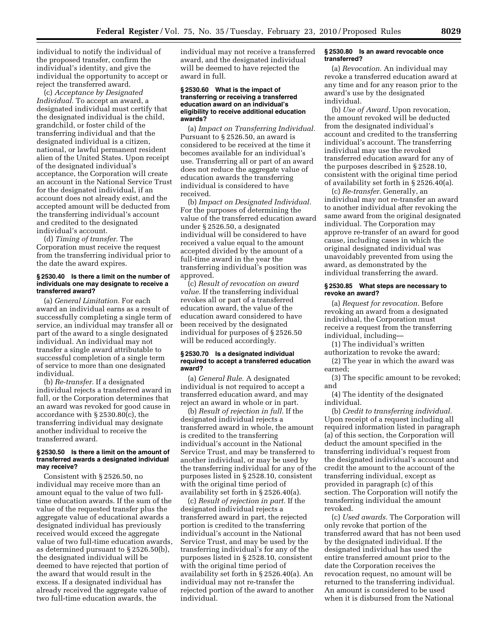individual to notify the individual of the proposed transfer, confirm the individual's identity, and give the individual the opportunity to accept or reject the transferred award.

(c) *Acceptance by Designated Individual.* To accept an award, a designated individual must certify that the designated individual is the child, grandchild, or foster child of the transferring individual and that the designated individual is a citizen, national, or lawful permanent resident alien of the United States. Upon receipt of the designated individual's acceptance, the Corporation will create an account in the National Service Trust for the designated individual, if an account does not already exist, and the accepted amount will be deducted from the transferring individual's account and credited to the designated individual's account.

(d) *Timing of transfer.* The Corporation must receive the request from the transferring individual prior to the date the award expires.

### **§ 2530.40 Is there a limit on the number of individuals one may designate to receive a transferred award?**

(a) *General Limitation.* For each award an individual earns as a result of successfully completing a single term of service, an individual may transfer all or part of the award to a single designated individual. An individual may not transfer a single award attributable to successful completion of a single term of service to more than one designated individual.

(b) *Re-transfer.* If a designated individual rejects a transferred award in full, or the Corporation determines that an award was revoked for good cause in accordance with § 2530.80(c), the transferring individual may designate another individual to receive the transferred award.

### **§ 2530.50 Is there a limit on the amount of transferred awards a designated individual may receive?**

Consistent with § 2526.50, no individual may receive more than an amount equal to the value of two fulltime education awards. If the sum of the value of the requested transfer plus the aggregate value of educational awards a designated individual has previously received would exceed the aggregate value of two full-time education awards, as determined pursuant to § 2526.50(b), the designated individual will be deemed to have rejected that portion of the award that would result in the excess. If a designated individual has already received the aggregate value of two full-time education awards, the

individual may not receive a transferred award, and the designated individual will be deemed to have rejected the award in full.

### **§ 2530.60 What is the impact of transferring or receiving a transferred education award on an individual's eligibility to receive additional education awards?**

(a) *Impact on Transferring Individual.*  Pursuant to § 2526.50, an award is considered to be received at the time it becomes available for an individual's use. Transferring all or part of an award does not reduce the aggregate value of education awards the transferring individual is considered to have received.

(b) *Impact on Designated Individual.*  For the purposes of determining the value of the transferred education award under § 2526.50, a designated individual will be considered to have received a value equal to the amount accepted divided by the amount of a full-time award in the year the transferring individual's position was approved.

(c) *Result of revocation on award value.* If the transferring individual revokes all or part of a transferred education award, the value of the education award considered to have been received by the designated individual for purposes of § 2526.50 will be reduced accordingly.

### **§ 2530.70 Is a designated individual required to accept a transferred education award?**

(a) *General Rule.* A designated individual is not required to accept a transferred education award, and may reject an award in whole or in part.

(b) *Result of rejection in full.* If the designated individual rejects a transferred award in whole, the amount is credited to the transferring individual's account in the National Service Trust, and may be transferred to another individual, or may be used by the transferring individual for any of the purposes listed in § 2528.10, consistent with the original time period of availability set forth in § 2526.40(a).

(c) *Result of rejection in part.* If the designated individual rejects a transferred award in part, the rejected portion is credited to the transferring individual's account in the National Service Trust, and may be used by the transferring individual's for any of the purposes listed in § 2528.10, consistent with the original time period of availability set forth in § 2526.40(a). An individual may not re-transfer the rejected portion of the award to another individual.

### **§ 2530.80 Is an award revocable once transferred?**

(a) *Revocation.* An individual may revoke a transferred education award at any time and for any reason prior to the award's use by the designated individual.

(b) *Use of Award.* Upon revocation, the amount revoked will be deducted from the designated individual's account and credited to the transferring individual's account. The transferring individual may use the revoked transferred education award for any of the purposes described in § 2528.10, consistent with the original time period of availability set forth in § 2526.40(a).

(c) *Re-transfer.* Generally, an individual may not re-transfer an award to another individual after revoking the same award from the original designated individual. The Corporation may approve re-transfer of an award for good cause, including cases in which the original designated individual was unavoidably prevented from using the award, as demonstrated by the individual transferring the award.

## **§ 2530.85 What steps are necessary to revoke an award?**

(a) *Request for revocation.* Before revoking an award from a designated individual, the Corporation must receive a request from the transferring individual, including—

(1) The individual's written authorization to revoke the award;

(2) The year in which the award was earned;

(3) The specific amount to be revoked; and

(4) The identity of the designated individual.

(b) *Credit to transferring individual.*  Upon receipt of a request including all required information listed in paragraph (a) of this section, the Corporation will deduct the amount specified in the transferring individual's request from the designated individual's account and credit the amount to the account of the transferring individual, except as provided in paragraph (c) of this section. The Corporation will notify the transferring individual the amount revoked.

(c) *Used awards.* The Corporation will only revoke that portion of the transferred award that has not been used by the designated individual. If the designated individual has used the entire transferred amount prior to the date the Corporation receives the revocation request, no amount will be returned to the transferring individual. An amount is considered to be used when it is disbursed from the National